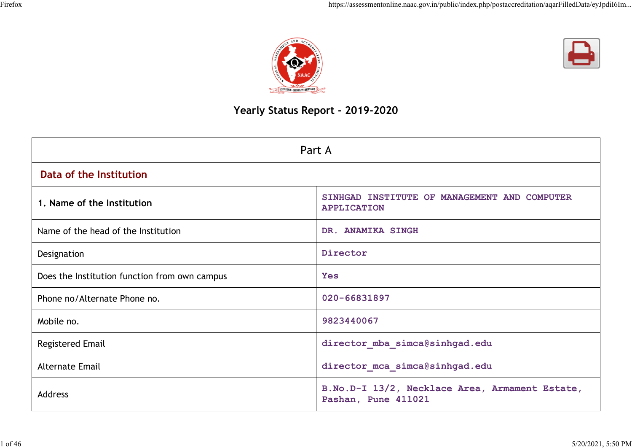



# **Yearly Status Report - 2019-2020**

| Part A                                        |                                                                         |  |  |  |  |
|-----------------------------------------------|-------------------------------------------------------------------------|--|--|--|--|
| Data of the Institution                       |                                                                         |  |  |  |  |
| 1. Name of the Institution                    | SINHGAD INSTITUTE OF MANAGEMENT AND COMPUTER<br><b>APPLICATION</b>      |  |  |  |  |
| Name of the head of the Institution           | DR. ANAMIKA SINGH                                                       |  |  |  |  |
| Designation                                   | Director                                                                |  |  |  |  |
| Does the Institution function from own campus | <b>Yes</b>                                                              |  |  |  |  |
| Phone no/Alternate Phone no.                  | 020-66831897                                                            |  |  |  |  |
| Mobile no.                                    | 9823440067                                                              |  |  |  |  |
| <b>Registered Email</b>                       | director mba simca@sinhgad.edu                                          |  |  |  |  |
| <b>Alternate Email</b>                        | director mca simca@sinhgad.edu                                          |  |  |  |  |
| <b>Address</b>                                | B. No. D-I 13/2, Necklace Area, Armament Estate,<br>Pashan, Pune 411021 |  |  |  |  |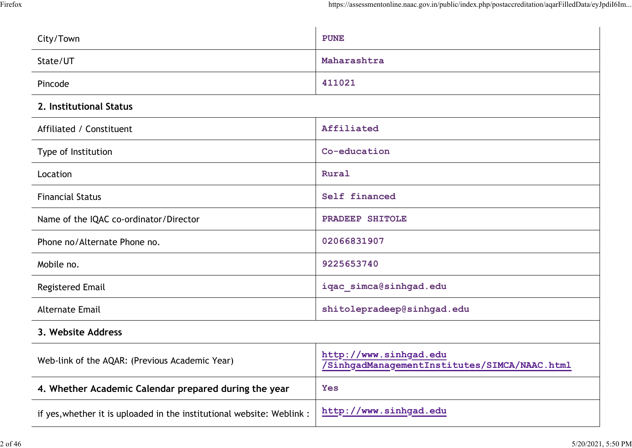| City/Town                                                              | <b>PUNE</b>                                                            |
|------------------------------------------------------------------------|------------------------------------------------------------------------|
| State/UT                                                               | Maharashtra                                                            |
| Pincode                                                                | 411021                                                                 |
| 2. Institutional Status                                                |                                                                        |
| Affiliated / Constituent                                               | Affiliated                                                             |
| Type of Institution                                                    | Co-education                                                           |
| Location                                                               | Rural                                                                  |
| <b>Financial Status</b>                                                | Self financed                                                          |
| Name of the IQAC co-ordinator/Director                                 | PRADEEP SHITOLE                                                        |
| Phone no/Alternate Phone no.                                           | 02066831907                                                            |
| Mobile no.                                                             | 9225653740                                                             |
| <b>Registered Email</b>                                                | iqac simca@sinhgad.edu                                                 |
| <b>Alternate Email</b>                                                 | shitolepradeep@sinhgad.edu                                             |
| 3. Website Address                                                     |                                                                        |
| Web-link of the AQAR: (Previous Academic Year)                         | http://www.sinhgad.edu<br>/SinhgadManagementInstitutes/SIMCA/NAAC.html |
| 4. Whether Academic Calendar prepared during the year                  | <b>Yes</b>                                                             |
| if yes, whether it is uploaded in the institutional website: Weblink : | http://www.sinhgad.edu                                                 |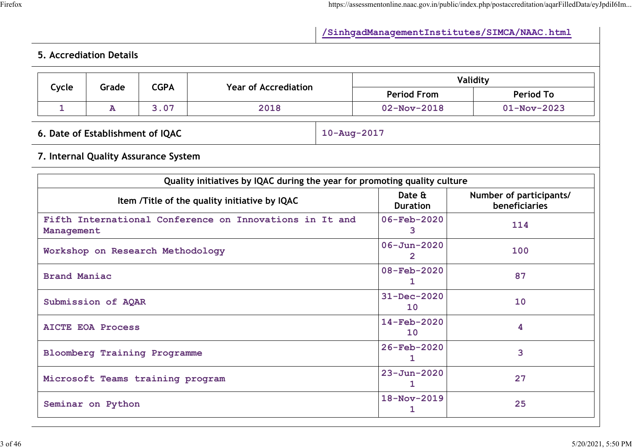# **/SinhgadManagementInstitutes/SIMCA/NAAC.html**

# **5. Accrediation Details**

|                                     |                                                                       |                                      |                                                                           |                           | Validity                       |                                                 |  |  |
|-------------------------------------|-----------------------------------------------------------------------|--------------------------------------|---------------------------------------------------------------------------|---------------------------|--------------------------------|-------------------------------------------------|--|--|
| Cycle                               | Grade                                                                 | <b>CGPA</b>                          | <b>Year of Accrediation</b>                                               | <b>Period From</b>        |                                | <b>Period To</b>                                |  |  |
| $\mathbf{1}$                        | $\overline{\mathbf{A}}$                                               | 3.07                                 | 2018                                                                      | $02 - Nov - 2018$         |                                | $01 - Nov - 2023$                               |  |  |
|                                     | 6. Date of Establishment of IQAC                                      |                                      |                                                                           | $10 - Aug - 2017$         |                                |                                                 |  |  |
|                                     |                                                                       | 7. Internal Quality Assurance System |                                                                           |                           |                                |                                                 |  |  |
|                                     |                                                                       |                                      | Quality initiatives by IQAC during the year for promoting quality culture |                           |                                |                                                 |  |  |
|                                     |                                                                       |                                      | Item /Title of the quality initiative by IQAC                             | Date &<br><b>Duration</b> |                                | Number of participants/<br><b>beneficiaries</b> |  |  |
|                                     | Fifth International Conference on Innovations in It and<br>Management |                                      |                                                                           |                           |                                | 114                                             |  |  |
|                                     | Workshop on Research Methodology                                      |                                      | $\overline{2}$                                                            | $06 - Jun - 2020$<br>100  |                                |                                                 |  |  |
| <b>Brand Maniac</b>                 |                                                                       |                                      |                                                                           | 08-Feb-2020<br>1          |                                | 87                                              |  |  |
|                                     | Submission of AQAR                                                    |                                      |                                                                           | 10                        | 31-Dec-2020<br>10              |                                                 |  |  |
| <b>AICTE EOA Process</b>            |                                                                       |                                      |                                                                           |                           | $14 - \text{Feb} - 2020$<br>10 |                                                 |  |  |
| <b>Bloomberg Training Programme</b> |                                                                       |                                      |                                                                           |                           | 26-Feb-2020                    | 3                                               |  |  |
|                                     | Microsoft Teams training program                                      |                                      | 1.                                                                        | $23 - Jun - 2020$<br>27   |                                |                                                 |  |  |
|                                     | Seminar on Python                                                     |                                      |                                                                           | $\mathbf{1}$              | 18-Nov-2019<br>25              |                                                 |  |  |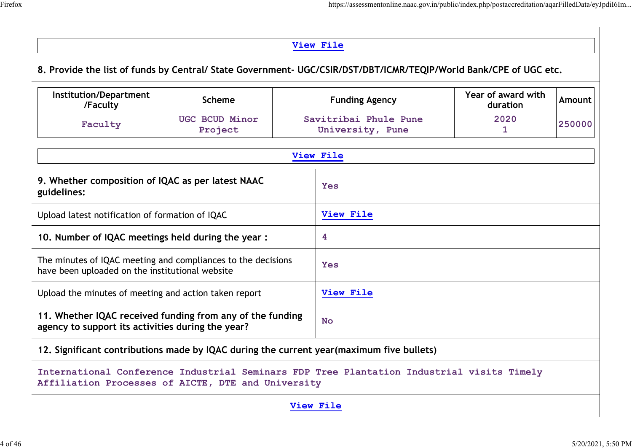# **View File**

## **8. Provide the list of funds by Central/ State Government- UGC/CSIR/DST/DBT/ICMR/TEQIP/World Bank/CPE of UGC etc.**

| Institution/Department<br>/Faculty | Scheme                    | <b>Funding Agency</b>                     | Year of award with<br>duration | Amount l |
|------------------------------------|---------------------------|-------------------------------------------|--------------------------------|----------|
| Faculty                            | UGC BCUD Minor<br>Project | Savitribai Phule Pune<br>University, Pune | 2020                           | 250000   |

| View File                                                                                                       |            |  |  |  |  |  |
|-----------------------------------------------------------------------------------------------------------------|------------|--|--|--|--|--|
| 9. Whether composition of IQAC as per latest NAAC<br>guidelines:                                                | <b>Yes</b> |  |  |  |  |  |
| Upload latest notification of formation of IQAC                                                                 | View File  |  |  |  |  |  |
| 10. Number of IQAC meetings held during the year:                                                               | 4          |  |  |  |  |  |
| The minutes of IQAC meeting and compliances to the decisions<br>have been uploaded on the institutional website | <b>Yes</b> |  |  |  |  |  |
| Upload the minutes of meeting and action taken report                                                           | View File  |  |  |  |  |  |
| 11. Whether IQAC received funding from any of the funding<br>agency to support its activities during the year?  | <b>No</b>  |  |  |  |  |  |
| 12. Significant contributions made by IQAC during the current year (maximum five bullets)                       |            |  |  |  |  |  |

**International Conference Industrial Seminars FDP Tree Plantation Industrial visits Timely Affiliation Processes of AICTE, DTE and University**

**View File**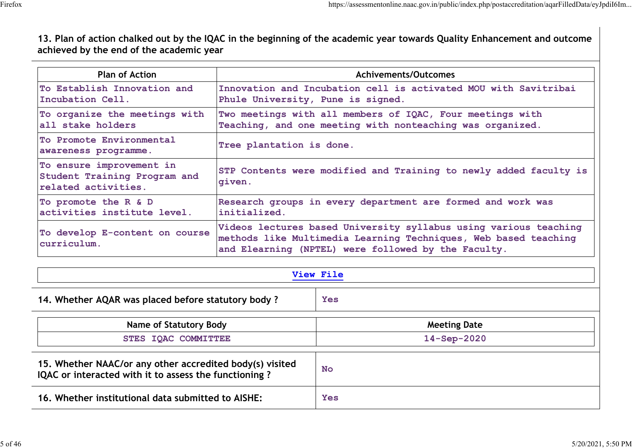**13. Plan of action chalked out by the IQAC in the beginning of the academic year towards Quality Enhancement and outcome achieved by the end of the academic year**

| <b>Plan of Action</b>                                                           | Achivements/Outcomes                                                                                                                                                                       |
|---------------------------------------------------------------------------------|--------------------------------------------------------------------------------------------------------------------------------------------------------------------------------------------|
| To Establish Innovation and<br>Incubation Cell.                                 | Innovation and Incubation cell is activated MOU with Savitribai<br>Phule University, Pune is signed.                                                                                       |
| To organize the meetings with<br>all stake holders                              | Two meetings with all members of IQAC, Four meetings with<br>Teaching, and one meeting with nonteaching was organized.                                                                     |
| To Promote Environmental<br>awareness programme.                                | Tree plantation is done.                                                                                                                                                                   |
| To ensure improvement in<br>Student Training Program and<br>related activities. | STP Contents were modified and Training to newly added faculty is<br>qiven.                                                                                                                |
| To promote the R & D<br>activities institute level.                             | Research groups in every department are formed and work was<br>initialized.                                                                                                                |
| To develop E-content on course<br>curriculum.                                   | Videos lectures based University syllabus using various teaching<br>methods like Multimedia Learning Techniques, Web based teaching<br>and Elearning (NPTEL) were followed by the Faculty. |

| View File                                                                                                         |                     |  |  |  |  |
|-------------------------------------------------------------------------------------------------------------------|---------------------|--|--|--|--|
| 14. Whether AQAR was placed before statutory body?                                                                | <b>Yes</b>          |  |  |  |  |
| <b>Name of Statutory Body</b>                                                                                     | <b>Meeting Date</b> |  |  |  |  |
| STES IQAC COMMITTEE                                                                                               | $14 - Sep-2020$     |  |  |  |  |
| 15. Whether NAAC/or any other accredited body(s) visited<br>IQAC or interacted with it to assess the functioning? | <b>No</b>           |  |  |  |  |
| 16. Whether institutional data submitted to AISHE:                                                                | <b>Yes</b>          |  |  |  |  |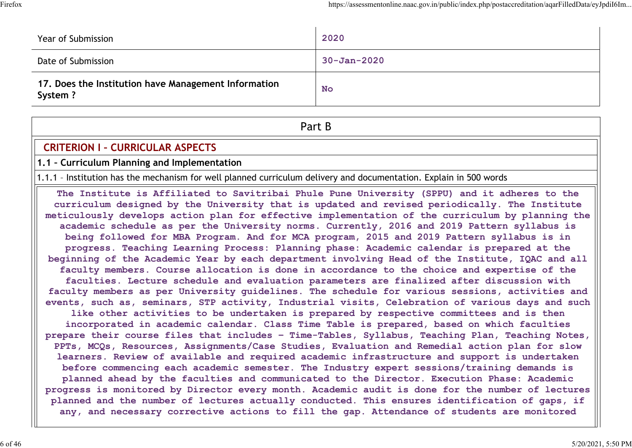| Year of Submission                                              | 2020              |
|-----------------------------------------------------------------|-------------------|
| Date of Submission                                              | $30 - Jan - 2020$ |
| 17. Does the Institution have Management Information<br>System? | No                |

Part B

# **CRITERION I - CURRICULAR ASPECTS**

**1.1 – Curriculum Planning and Implementation**

1.1.1 – Institution has the mechanism for well planned curriculum delivery and documentation. Explain in 500 words

**The Institute is Affiliated to Savitribai Phule Pune University (SPPU) and it adheres to the curriculum designed by the University that is updated and revised periodically. The Institute meticulously develops action plan for effective implementation of the curriculum by planning the academic schedule as per the University norms. Currently, 2016 and 2019 Pattern syllabus is being followed for MBA Program. And for MCA program, 2015 and 2019 Pattern syllabus is in progress. Teaching Learning Process: Planning phase: Academic calendar is prepared at the beginning of the Academic Year by each department involving Head of the Institute, IQAC and all faculty members. Course allocation is done in accordance to the choice and expertise of the faculties. Lecture schedule and evaluation parameters are finalized after discussion with faculty members as per University guidelines. The schedule for various sessions, activities and events, such as, seminars, STP activity, Industrial visits, Celebration of various days and such like other activities to be undertaken is prepared by respective committees and is then incorporated in academic calendar. Class Time Table is prepared, based on which faculties prepare their course files that includes – Time-Tables, Syllabus, Teaching Plan, Teaching Notes, PPTs, MCQs, Resources, Assignments/Case Studies, Evaluation and Remedial action plan for slow learners. Review of available and required academic infrastructure and support is undertaken before commencing each academic semester. The Industry expert sessions/training demands is planned ahead by the faculties and communicated to the Director. Execution Phase: Academic progress is monitored by Director every month. Academic audit is done for the number of lectures planned and the number of lectures actually conducted. This ensures identification of gaps, if any, and necessary corrective actions to fill the gap. Attendance of students are monitored**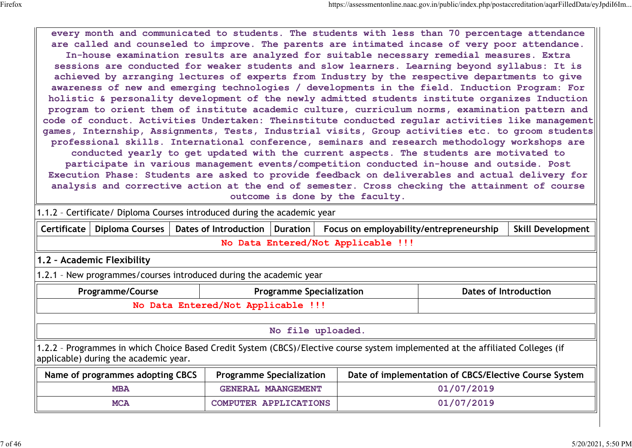**every month and communicated to students. The students with less than 70 percentage attendance are called and counseled to improve. The parents are intimated incase of very poor attendance. In-house examination results are analyzed for suitable necessary remedial measures. Extra sessions are conducted for weaker students and slow learners. Learning beyond syllabus: It is achieved by arranging lectures of experts from Industry by the respective departments to give awareness of new and emerging technologies / developments in the field. Induction Program: For holistic & personality development of the newly admitted students institute organizes Induction program to orient them of institute academic culture, curriculum norms, examination pattern and code of conduct. Activities Undertaken: Theinstitute conducted regular activities like management games, Internship, Assignments, Tests, Industrial visits, Group activities etc. to groom students professional skills. International conference, seminars and research methodology workshops are conducted yearly to get updated with the current aspects. The students are motivated to participate in various management events/competition conducted in-house and outside. Post Execution Phase: Students are asked to provide feedback on deliverables and actual delivery for analysis and corrective action at the end of semester. Cross checking the attainment of course outcome is done by the faculty.**

| 1.1.2 - Certificate/ Diploma Courses introduced during the academic year                                                                                                 |                                                                                                                              |                                                                                        |                                    |            |  |  |  |
|--------------------------------------------------------------------------------------------------------------------------------------------------------------------------|------------------------------------------------------------------------------------------------------------------------------|----------------------------------------------------------------------------------------|------------------------------------|------------|--|--|--|
| Diploma Courses  <br><b>Certificate</b>                                                                                                                                  | Dates of Introduction                                                                                                        | Focus on employability/entrepreneurship<br><b>Skill Development</b><br><b>Duration</b> |                                    |            |  |  |  |
|                                                                                                                                                                          |                                                                                                                              |                                                                                        | No Data Entered/Not Applicable !!! |            |  |  |  |
| 1.2 - Academic Flexibility                                                                                                                                               |                                                                                                                              |                                                                                        |                                    |            |  |  |  |
| 1.2.1 - New programmes/courses introduced during the academic year                                                                                                       |                                                                                                                              |                                                                                        |                                    |            |  |  |  |
| <b>Programme/Course</b>                                                                                                                                                  | <b>Dates of Introduction</b><br><b>Programme Specialization</b>                                                              |                                                                                        |                                    |            |  |  |  |
| No Data Entered/Not Applicable !!!                                                                                                                                       |                                                                                                                              |                                                                                        |                                    |            |  |  |  |
| No file uploaded.                                                                                                                                                        |                                                                                                                              |                                                                                        |                                    |            |  |  |  |
| 1.2.2 - Programmes in which Choice Based Credit System (CBCS)/Elective course system implemented at the affiliated Colleges (if<br>applicable) during the academic year. |                                                                                                                              |                                                                                        |                                    |            |  |  |  |
|                                                                                                                                                                          | Date of implementation of CBCS/Elective Course System<br>Name of programmes adopting CBCS<br><b>Programme Specialization</b> |                                                                                        |                                    |            |  |  |  |
| <b>MBA</b>                                                                                                                                                               | <b>GENERAL MAANGEMENT</b>                                                                                                    |                                                                                        |                                    | 01/07/2019 |  |  |  |
| <b>MCA</b>                                                                                                                                                               | COMPUTER APPLICATIONS                                                                                                        |                                                                                        | 01/07/2019                         |            |  |  |  |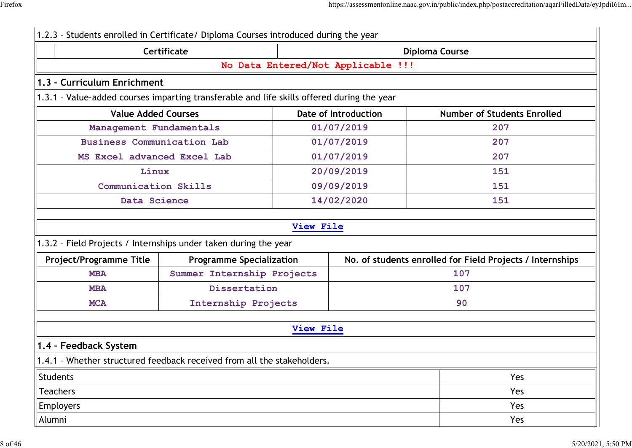|                                                                                                    | <b>Certificate</b>              |           |                                    | <b>Diploma Course</b>                                     |
|----------------------------------------------------------------------------------------------------|---------------------------------|-----------|------------------------------------|-----------------------------------------------------------|
|                                                                                                    |                                 |           | No Data Entered/Not Applicable !!! |                                                           |
| 1.3 - Curriculum Enrichment                                                                        |                                 |           |                                    |                                                           |
| 1.3.1 - Value-added courses imparting transferable and life skills offered during the year         |                                 |           |                                    |                                                           |
| <b>Value Added Courses</b>                                                                         |                                 |           | <b>Date of Introduction</b>        | <b>Number of Students Enrolled</b>                        |
| Management Fundamentals                                                                            |                                 |           | 01/07/2019                         | 207                                                       |
| <b>Business Communication Lab</b>                                                                  |                                 |           | 01/07/2019                         | 207                                                       |
| MS Excel advanced Excel Lab                                                                        |                                 |           | 01/07/2019                         | 207                                                       |
| Linux                                                                                              |                                 |           | 20/09/2019                         | 151                                                       |
| Communication Skills                                                                               |                                 |           | 09/09/2019                         | 151                                                       |
| Data Science                                                                                       |                                 |           | 14/02/2020                         | 151                                                       |
| 1.3.2 - Field Projects / Internships under taken during the year<br><b>Project/Programme Title</b> | <b>Programme Specialization</b> | View File |                                    | No. of students enrolled for Field Projects / Internships |
| <b>MBA</b>                                                                                         | Summer Internship Projects      |           |                                    | 107                                                       |
| <b>MBA</b>                                                                                         | Dissertation                    |           |                                    | 107                                                       |
| <b>MCA</b>                                                                                         | Internship Projects             |           |                                    | 90                                                        |
|                                                                                                    |                                 | View File |                                    |                                                           |
| 1.4 - Feedback System                                                                              |                                 |           |                                    |                                                           |
| 1.4.1 - Whether structured feedback received from all the stakeholders.                            |                                 |           |                                    |                                                           |
| Students                                                                                           |                                 |           |                                    | Yes                                                       |
| <b>Teachers</b>                                                                                    |                                 |           |                                    | Yes                                                       |
| <b>Employers</b>                                                                                   |                                 |           |                                    | Yes                                                       |
| Alumni                                                                                             |                                 |           |                                    | Yes                                                       |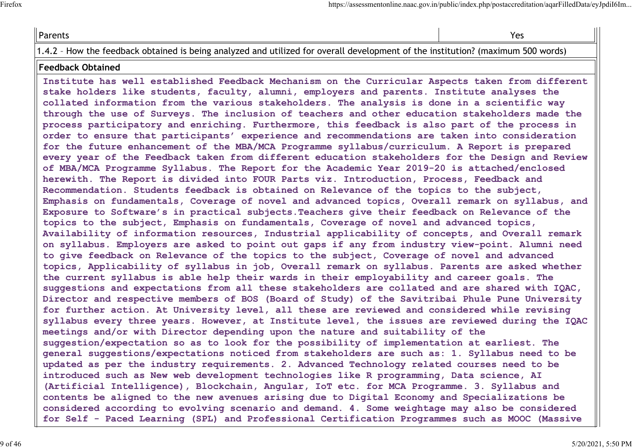| Parents | Yes |
|---------|-----|
| .       |     |

1.4.2 – How the feedback obtained is being analyzed and utilized for overall development of the institution? (maximum 500 words)

#### **Feedback Obtained**

**Institute has well established Feedback Mechanism on the Curricular Aspects taken from different stake holders like students, faculty, alumni, employers and parents. Institute analyses the collated information from the various stakeholders. The analysis is done in a scientific way through the use of Surveys. The inclusion of teachers and other education stakeholders made the process participatory and enriching. Furthermore, this feedback is also part of the process in order to ensure that participants' experience and recommendations are taken into consideration for the future enhancement of the MBA/MCA Programme syllabus/curriculum. A Report is prepared every year of the Feedback taken from different education stakeholders for the Design and Review of MBA/MCA Programme Syllabus. The Report for the Academic Year 2019-20 is attached/enclosed herewith. The Report is divided into FOUR Parts viz. Introduction, Process, Feedback and Recommendation. Students feedback is obtained on Relevance of the topics to the subject, Emphasis on fundamentals, Coverage of novel and advanced topics, Overall remark on syllabus, and Exposure to Software's in practical subjects.Teachers give their feedback on Relevance of the topics to the subject, Emphasis on fundamentals, Coverage of novel and advanced topics, Availability of information resources, Industrial applicability of concepts, and Overall remark on syllabus. Employers are asked to point out gaps if any from industry view-point. Alumni need to give feedback on Relevance of the topics to the subject, Coverage of novel and advanced topics, Applicability of syllabus in job, Overall remark on syllabus. Parents are asked whether the current syllabus is able help their wards in their employability and career goals. The suggestions and expectations from all these stakeholders are collated and are shared with IQAC, Director and respective members of BOS (Board of Study) of the Savitribai Phule Pune University for further action. At University level, all these are reviewed and considered while revising syllabus every three years. However, at Institute level, the issues are reviewed during the IQAC meetings and/or with Director depending upon the nature and suitability of the suggestion/expectation so as to look for the possibility of implementation at earliest. The general suggestions/expectations noticed from stakeholders are such as: 1. Syllabus need to be updated as per the industry requirements. 2. Advanced Technology related courses need to be introduced such as New web development technologies like R programming, Data science, AI (Artificial Intelligence), Blockchain, Angular, IoT etc. for MCA Programme. 3. Syllabus and contents be aligned to the new avenues arising due to Digital Economy and Specializations be considered according to evolving scenario and demand. 4. Some weightage may also be considered for Self - Paced Learning (SPL) and Professional Certification Programmes such as MOOC (Massive**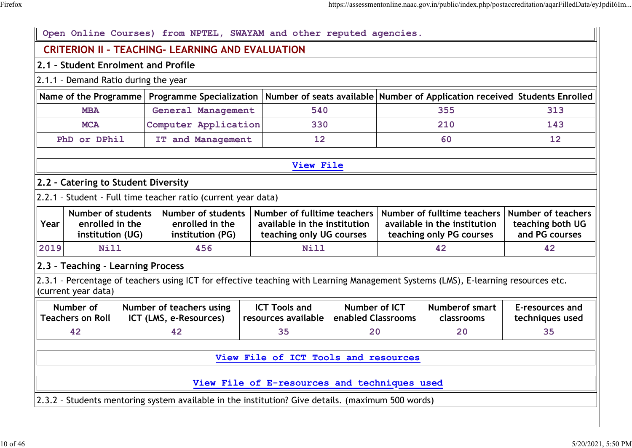|      | Open Online Courses) from NPTEL, SWAYAM and other reputed agencies.                                                                    |  |                                                                                                                                   |  |                                                                                         |                                     |                                                                 |                                     |                                    |  |
|------|----------------------------------------------------------------------------------------------------------------------------------------|--|-----------------------------------------------------------------------------------------------------------------------------------|--|-----------------------------------------------------------------------------------------|-------------------------------------|-----------------------------------------------------------------|-------------------------------------|------------------------------------|--|
|      | <b>CRITERION II - TEACHING- LEARNING AND EVALUATION</b>                                                                                |  |                                                                                                                                   |  |                                                                                         |                                     |                                                                 |                                     |                                    |  |
|      | 2.1 - Student Enrolment and Profile                                                                                                    |  |                                                                                                                                   |  |                                                                                         |                                     |                                                                 |                                     |                                    |  |
|      | 2.1.1 - Demand Ratio during the year                                                                                                   |  |                                                                                                                                   |  |                                                                                         |                                     |                                                                 |                                     |                                    |  |
|      | Number of seats available Number of Application received Students Enrolled<br>Name of the Programme<br><b>Programme Specialization</b> |  |                                                                                                                                   |  |                                                                                         |                                     |                                                                 |                                     |                                    |  |
|      | <b>MBA</b>                                                                                                                             |  | General Management                                                                                                                |  | 540                                                                                     |                                     | 355                                                             |                                     | 313                                |  |
|      | <b>MCA</b>                                                                                                                             |  | Computer Application                                                                                                              |  | 330                                                                                     |                                     |                                                                 | 210                                 | 143                                |  |
|      | PhD or DPhil                                                                                                                           |  | IT and Management                                                                                                                 |  | 12                                                                                      |                                     |                                                                 | 60                                  | $12 \overline{ }$                  |  |
|      |                                                                                                                                        |  |                                                                                                                                   |  |                                                                                         |                                     |                                                                 |                                     |                                    |  |
|      |                                                                                                                                        |  |                                                                                                                                   |  | View File                                                                               |                                     |                                                                 |                                     |                                    |  |
|      | 2.2 - Catering to Student Diversity                                                                                                    |  |                                                                                                                                   |  |                                                                                         |                                     |                                                                 |                                     |                                    |  |
|      |                                                                                                                                        |  | 2.2.1 - Student - Full time teacher ratio (current year data)                                                                     |  |                                                                                         |                                     |                                                                 |                                     |                                    |  |
| Year | <b>Number of students</b><br><b>Number of students</b><br>enrolled in the<br>enrolled in the<br>institution (UG)<br>institution (PG)   |  | Number of fulltime teachers<br>available in the institution<br>teaching only UG courses                                           |  | Number of fulltime teachers<br>available in the institution<br>teaching only PG courses |                                     | <b>Number of teachers</b><br>teaching both UG<br>and PG courses |                                     |                                    |  |
| 2019 | Nill                                                                                                                                   |  | 456                                                                                                                               |  | Nill                                                                                    |                                     |                                                                 | 42                                  | 42                                 |  |
|      | 2.3 - Teaching - Learning Process                                                                                                      |  |                                                                                                                                   |  |                                                                                         |                                     |                                                                 |                                     |                                    |  |
|      | (current year data)                                                                                                                    |  | 2.3.1 - Percentage of teachers using ICT for effective teaching with Learning Management Systems (LMS), E-learning resources etc. |  |                                                                                         |                                     |                                                                 |                                     |                                    |  |
|      | Number of<br><b>Teachers on Roll</b>                                                                                                   |  | Number of teachers using<br>ICT (LMS, e-Resources)                                                                                |  | <b>ICT Tools and</b><br>resources available                                             | Number of ICT<br>enabled Classrooms |                                                                 | <b>Numberof smart</b><br>classrooms | E-resources and<br>techniques used |  |
|      | 42                                                                                                                                     |  | 42                                                                                                                                |  | 35                                                                                      | 20                                  |                                                                 | 20                                  | 35                                 |  |
|      |                                                                                                                                        |  |                                                                                                                                   |  |                                                                                         |                                     |                                                                 |                                     |                                    |  |
|      | View File of ICT Tools and resources                                                                                                   |  |                                                                                                                                   |  |                                                                                         |                                     |                                                                 |                                     |                                    |  |
|      | View File of E-resources and techniques used                                                                                           |  |                                                                                                                                   |  |                                                                                         |                                     |                                                                 |                                     |                                    |  |
|      |                                                                                                                                        |  |                                                                                                                                   |  |                                                                                         |                                     |                                                                 |                                     |                                    |  |
|      | 2.3.2 - Students mentoring system available in the institution? Give details. (maximum 500 words)                                      |  |                                                                                                                                   |  |                                                                                         |                                     |                                                                 |                                     |                                    |  |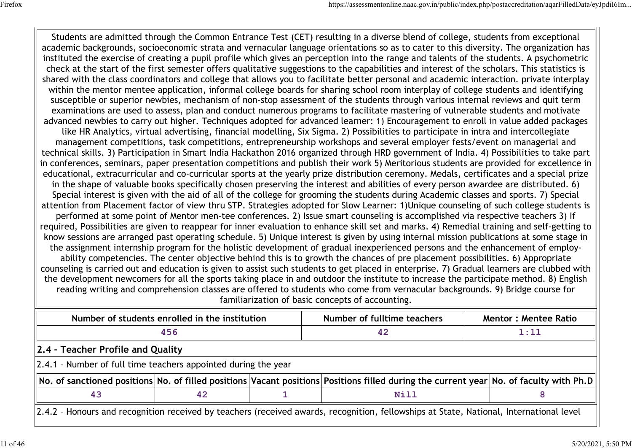Students are admitted through the Common Entrance Test (CET) resulting in a diverse blend of college, students from exceptional academic backgrounds, socioeconomic strata and vernacular language orientations so as to cater to this diversity. The organization has instituted the exercise of creating a pupil profile which gives an perception into the range and talents of the students. A psychometric check at the start of the first semester offers qualitative suggestions to the capabilities and interest of the scholars. This statistics is shared with the class coordinators and college that allows you to facilitate better personal and academic interaction. private interplay within the mentor mentee application, informal college boards for sharing school room interplay of college students and identifying susceptible or superior newbies, mechanism of non-stop assessment of the students through various internal reviews and quit term examinations are used to assess, plan and conduct numerous programs to facilitate mastering of vulnerable students and motivate advanced newbies to carry out higher. Techniques adopted for advanced learner: 1) Encouragement to enroll in value added packages like HR Analytics, virtual advertising, financial modelling, Six Sigma. 2) Possibilities to participate in intra and intercollegiate management competitions, task competitions, entrepreneurship workshops and several employer fests/event on managerial and technical skills. 3) Participation in Smart India Hackathon 2016 organized through HRD government of India. 4) Possibilities to take part in conferences, seminars, paper presentation competitions and publish their work 5) Meritorious students are provided for excellence in educational, extracurricular and co-curricular sports at the yearly prize distribution ceremony. Medals, certificates and a special prize in the shape of valuable books specifically chosen preserving the interest and abilities of every person awardee are distributed. 6) Special interest is given with the aid of all of the college for grooming the students during Academic classes and sports. 7) Special attention from Placement factor of view thru STP. Strategies adopted for Slow Learner: 1)Unique counseling of such college students is performed at some point of Mentor men-tee conferences. 2) Issue smart counseling is accomplished via respective teachers 3) If required, Possibilities are given to reappear for inner evaluation to enhance skill set and marks. 4) Remedial training and self-getting to know sessions are arranged past operating schedule. 5) Unique interest is given by using internal mission publications at some stage in the assignment internship program for the holistic development of gradual inexperienced persons and the enhancement of employability competencies. The center objective behind this is to growth the chances of pre placement possibilities. 6) Appropriate counseling is carried out and education is given to assist such students to get placed in enterprise. 7) Gradual learners are clubbed with the development newcomers for all the sports taking place in and outdoor the institute to increase the participate method. 8) English reading writing and comprehension classes are offered to students who come from vernacular backgrounds. 9) Bridge course for familiarization of basic concepts of accounting.

|                                                                | Number of students enrolled in the institution |  | Number of fulltime teachers                                                                                                                      | <b>Mentor: Mentee Ratio</b> |  |  |  |  |  |  |
|----------------------------------------------------------------|------------------------------------------------|--|--------------------------------------------------------------------------------------------------------------------------------------------------|-----------------------------|--|--|--|--|--|--|
|                                                                | 456                                            |  | 42                                                                                                                                               | 1:11                        |  |  |  |  |  |  |
|                                                                | 2.4 - Teacher Profile and Quality              |  |                                                                                                                                                  |                             |  |  |  |  |  |  |
| 2.4.1 - Number of full time teachers appointed during the year |                                                |  |                                                                                                                                                  |                             |  |  |  |  |  |  |
|                                                                |                                                |  | $\ $ No. of sanctioned positions No. of filled positions Vacant positions Positions filled during the current year No. of faculty with Ph.D $\ $ |                             |  |  |  |  |  |  |
| Nill<br>43<br>42                                               |                                                |  |                                                                                                                                                  |                             |  |  |  |  |  |  |
|                                                                |                                                |  | 2.4.2 - Honours and recognition received by teachers (received awards, recognition, fellowships at State, National, International level          |                             |  |  |  |  |  |  |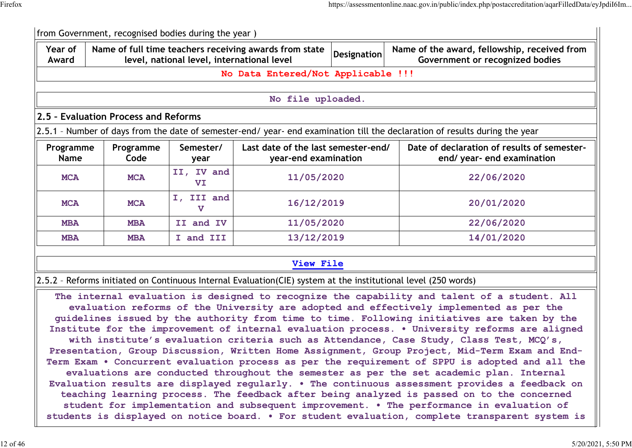|                          | from Government, recognised bodies during the year) |                                            |                                                                                                                |                          |                                                                                                                                                                                                                                                                                                                                                                                                                                                                                                                                                                                                                                                                                                                                                                                                                                                                                                                                                                                                                                                                                                                                                                                       |  |  |  |  |  |  |  |  |  |  |  |  |  |  |  |  |  |  |  |  |  |  |  |  |  |            |
|--------------------------|-----------------------------------------------------|--------------------------------------------|----------------------------------------------------------------------------------------------------------------|--------------------------|---------------------------------------------------------------------------------------------------------------------------------------------------------------------------------------------------------------------------------------------------------------------------------------------------------------------------------------------------------------------------------------------------------------------------------------------------------------------------------------------------------------------------------------------------------------------------------------------------------------------------------------------------------------------------------------------------------------------------------------------------------------------------------------------------------------------------------------------------------------------------------------------------------------------------------------------------------------------------------------------------------------------------------------------------------------------------------------------------------------------------------------------------------------------------------------|--|--|--|--|--|--|--|--|--|--|--|--|--|--|--|--|--|--|--|--|--|--|--|--|--|------------|
| Year of<br>Award         |                                                     | level, national level, international level | Name of full time teachers receiving awards from state                                                         | <b>Designation</b>       | Name of the award, fellowship, received from<br>Government or recognized bodies                                                                                                                                                                                                                                                                                                                                                                                                                                                                                                                                                                                                                                                                                                                                                                                                                                                                                                                                                                                                                                                                                                       |  |  |  |  |  |  |  |  |  |  |  |  |  |  |  |  |  |  |  |  |  |  |  |  |  |            |
|                          |                                                     |                                            | No Data Entered/Not Applicable !!!                                                                             |                          |                                                                                                                                                                                                                                                                                                                                                                                                                                                                                                                                                                                                                                                                                                                                                                                                                                                                                                                                                                                                                                                                                                                                                                                       |  |  |  |  |  |  |  |  |  |  |  |  |  |  |  |  |  |  |  |  |  |  |  |  |  |            |
|                          |                                                     |                                            |                                                                                                                |                          |                                                                                                                                                                                                                                                                                                                                                                                                                                                                                                                                                                                                                                                                                                                                                                                                                                                                                                                                                                                                                                                                                                                                                                                       |  |  |  |  |  |  |  |  |  |  |  |  |  |  |  |  |  |  |  |  |  |  |  |  |  |            |
|                          |                                                     |                                            | No file uploaded.                                                                                              |                          |                                                                                                                                                                                                                                                                                                                                                                                                                                                                                                                                                                                                                                                                                                                                                                                                                                                                                                                                                                                                                                                                                                                                                                                       |  |  |  |  |  |  |  |  |  |  |  |  |  |  |  |  |  |  |  |  |  |  |  |  |  |            |
|                          | 2.5 - Evaluation Process and Reforms                |                                            |                                                                                                                |                          |                                                                                                                                                                                                                                                                                                                                                                                                                                                                                                                                                                                                                                                                                                                                                                                                                                                                                                                                                                                                                                                                                                                                                                                       |  |  |  |  |  |  |  |  |  |  |  |  |  |  |  |  |  |  |  |  |  |  |  |  |  |            |
|                          |                                                     |                                            |                                                                                                                |                          | 2.5.1 - Number of days from the date of semester-end/ year- end examination till the declaration of results during the year                                                                                                                                                                                                                                                                                                                                                                                                                                                                                                                                                                                                                                                                                                                                                                                                                                                                                                                                                                                                                                                           |  |  |  |  |  |  |  |  |  |  |  |  |  |  |  |  |  |  |  |  |  |  |  |  |  |            |
| Programme<br><b>Name</b> | Programme<br>Code                                   | Semester/<br>year                          | Last date of the last semester-end/<br>year-end examination                                                    |                          | Date of declaration of results of semester-<br>end/ year- end examination                                                                                                                                                                                                                                                                                                                                                                                                                                                                                                                                                                                                                                                                                                                                                                                                                                                                                                                                                                                                                                                                                                             |  |  |  |  |  |  |  |  |  |  |  |  |  |  |  |  |  |  |  |  |  |  |  |  |  |            |
| <b>MCA</b>               | <b>MCA</b>                                          | II, IV and<br>VI                           | 11/05/2020                                                                                                     |                          | 22/06/2020                                                                                                                                                                                                                                                                                                                                                                                                                                                                                                                                                                                                                                                                                                                                                                                                                                                                                                                                                                                                                                                                                                                                                                            |  |  |  |  |  |  |  |  |  |  |  |  |  |  |  |  |  |  |  |  |  |  |  |  |  |            |
| <b>MCA</b>               | <b>MCA</b>                                          | I, III and<br>v                            | 16/12/2019                                                                                                     |                          |                                                                                                                                                                                                                                                                                                                                                                                                                                                                                                                                                                                                                                                                                                                                                                                                                                                                                                                                                                                                                                                                                                                                                                                       |  |  |  |  |  |  |  |  |  |  |  |  |  |  |  |  |  |  |  |  |  |  |  |  |  | 20/01/2020 |
| <b>MBA</b>               | <b>MBA</b>                                          | II and IV                                  |                                                                                                                | 11/05/2020<br>22/06/2020 |                                                                                                                                                                                                                                                                                                                                                                                                                                                                                                                                                                                                                                                                                                                                                                                                                                                                                                                                                                                                                                                                                                                                                                                       |  |  |  |  |  |  |  |  |  |  |  |  |  |  |  |  |  |  |  |  |  |  |  |  |  |            |
| <b>MBA</b>               | <b>MBA</b>                                          | I and III                                  | 13/12/2019                                                                                                     |                          | 14/01/2020                                                                                                                                                                                                                                                                                                                                                                                                                                                                                                                                                                                                                                                                                                                                                                                                                                                                                                                                                                                                                                                                                                                                                                            |  |  |  |  |  |  |  |  |  |  |  |  |  |  |  |  |  |  |  |  |  |  |  |  |  |            |
|                          |                                                     |                                            | View File                                                                                                      |                          |                                                                                                                                                                                                                                                                                                                                                                                                                                                                                                                                                                                                                                                                                                                                                                                                                                                                                                                                                                                                                                                                                                                                                                                       |  |  |  |  |  |  |  |  |  |  |  |  |  |  |  |  |  |  |  |  |  |  |  |  |  |            |
|                          |                                                     |                                            | 2.5.2 - Reforms initiated on Continuous Internal Evaluation(CIE) system at the institutional level (250 words) |                          |                                                                                                                                                                                                                                                                                                                                                                                                                                                                                                                                                                                                                                                                                                                                                                                                                                                                                                                                                                                                                                                                                                                                                                                       |  |  |  |  |  |  |  |  |  |  |  |  |  |  |  |  |  |  |  |  |  |  |  |  |  |            |
|                          |                                                     |                                            |                                                                                                                |                          | The internal evaluation is designed to recognize the capability and talent of a student. All<br>evaluation reforms of the University are adopted and effectively implemented as per the<br>guidelines issued by the authority from time to time. Following initiatives are taken by the<br>Institute for the improvement of internal evaluation process. . University reforms are aligned<br>with institute's evaluation criteria such as Attendance, Case Study, Class Test, MCQ's,<br>Presentation, Group Discussion, Written Home Assignment, Group Project, Mid-Term Exam and End-<br>Term Exam . Concurrent evaluation process as per the requirement of SPPU is adopted and all the<br>evaluations are conducted throughout the semester as per the set academic plan. Internal<br>Evaluation results are displayed regularly. . The continuous assessment provides a feedback on<br>teaching learning process. The feedback after being analyzed is passed on to the concerned<br>student for implementation and subsequent improvement. . The performance in evaluation of<br>students is displayed on notice board. . For student evaluation, complete transparent system is |  |  |  |  |  |  |  |  |  |  |  |  |  |  |  |  |  |  |  |  |  |  |  |  |  |            |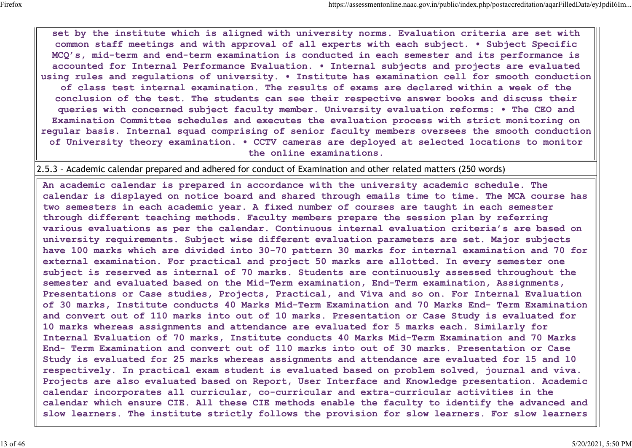**set by the institute which is aligned with university norms. Evaluation criteria are set with common staff meetings and with approval of all experts with each subject. • Subject Specific MCQ's, mid-term and end-term examination is conducted in each semester and its performance is accounted for Internal Performance Evaluation. • Internal subjects and projects are evaluated using rules and regulations of university. • Institute has examination cell for smooth conduction of class test internal examination. The results of exams are declared within a week of the conclusion of the test. The students can see their respective answer books and discuss their queries with concerned subject faculty member. University evaluation reforms: • The CEO and Examination Committee schedules and executes the evaluation process with strict monitoring on regular basis. Internal squad comprising of senior faculty members oversees the smooth conduction of University theory examination. • CCTV cameras are deployed at selected locations to monitor the online examinations.**

2.5.3 – Academic calendar prepared and adhered for conduct of Examination and other related matters (250 words)

**An academic calendar is prepared in accordance with the university academic schedule. The calendar is displayed on notice board and shared through emails time to time. The MCA course has two semesters in each academic year. A fixed number of courses are taught in each semester through different teaching methods. Faculty members prepare the session plan by referring various evaluations as per the calendar. Continuous internal evaluation criteria's are based on university requirements. Subject wise different evaluation parameters are set. Major subjects have 100 marks which are divided into 30-70 pattern 30 marks for internal examination and 70 for external examination. For practical and project 50 marks are allotted. In every semester one subject is reserved as internal of 70 marks. Students are continuously assessed throughout the semester and evaluated based on the Mid-Term examination, End-Term examination, Assignments, Presentations or Case studies, Projects, Practical, and Viva and so on. For Internal Evaluation of 30 marks, Institute conducts 40 Marks Mid-Term Examination and 70 Marks End- Term Examination and convert out of 110 marks into out of 10 marks. Presentation or Case Study is evaluated for 10 marks whereas assignments and attendance are evaluated for 5 marks each. Similarly for Internal Evaluation of 70 marks, Institute conducts 40 Marks Mid-Term Examination and 70 Marks End- Term Examination and convert out of 110 marks into out of 30 marks. Presentation or Case Study is evaluated for 25 marks whereas assignments and attendance are evaluated for 15 and 10 respectively. In practical exam student is evaluated based on problem solved, journal and viva. Projects are also evaluated based on Report, User Interface and Knowledge presentation. Academic calendar incorporates all curricular, co-curricular and extra-curricular activities in the calendar which ensure CIE. All these CIE methods enable the faculty to identify the advanced and slow learners. The institute strictly follows the provision for slow learners. For slow learners**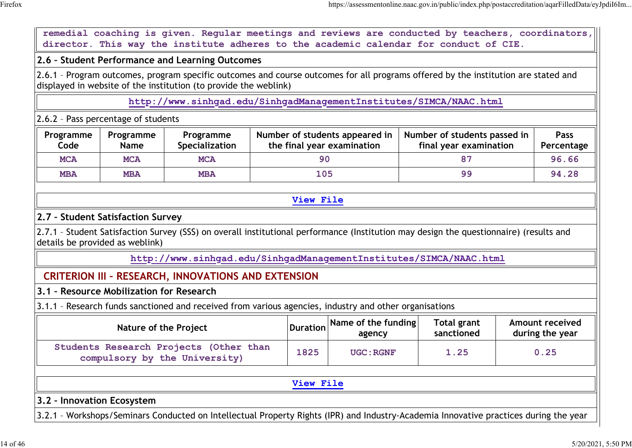**remedial coaching is given. Regular meetings and reviews are conducted by teachers, coordinators, director. This way the institute adheres to the academic calendar for conduct of CIE.**

#### **2.6 – Student Performance and Learning Outcomes**

2.6.1 – Program outcomes, program specific outcomes and course outcomes for all programs offered by the institution are stated and displayed in website of the institution (to provide the weblink)

**http://www.sinhgad.edu/SinhgadManagementInstitutes/SIMCA/NAAC.html**

# 2.6.2 – Pass percentage of students

| Programme<br>Code | Programme<br>Name | Programme<br>Specialization | Number of students appeared in<br>the final year examination | Number of students passed in<br>final year examination | <b>Pass</b><br>Percentage |
|-------------------|-------------------|-----------------------------|--------------------------------------------------------------|--------------------------------------------------------|---------------------------|
| <b>MCA</b>        | <b>MCA</b>        | <b>MCA</b>                  | 90                                                           |                                                        | 96.66                     |
| <b>MBA</b>        | <b>MBA</b>        | <b>MBA</b>                  | 105                                                          | 99                                                     | 94.28                     |

#### **View File**

# **2.7 – Student Satisfaction Survey**

2.7.1 – Student Satisfaction Survey (SSS) on overall institutional performance (Institution may design the questionnaire) (results and details be provided as weblink)

**http://www.sinhgad.edu/SinhgadManagementInstitutes/SIMCA/NAAC.html**

# **CRITERION III – RESEARCH, INNOVATIONS AND EXTENSION**

# **3.1 – Resource Mobilization for Research**

3.1.1 – Research funds sanctioned and received from various agencies, industry and other organisations

| Nature of the Project                                                   |      | $\vert$ Duration Name of the funding<br>agency | Total grant<br>sanctioned | Amount received<br>during the year |
|-------------------------------------------------------------------------|------|------------------------------------------------|---------------------------|------------------------------------|
| Students Research Projects (Other than<br>compulsory by the University) | 1825 | UGC: RGNF                                      | 1.25                      | 0.25                               |

**View File**

## **3.2 – Innovation Ecosystem**

3.2.1 – Workshops/Seminars Conducted on Intellectual Property Rights (IPR) and Industry-Academia Innovative practices during the year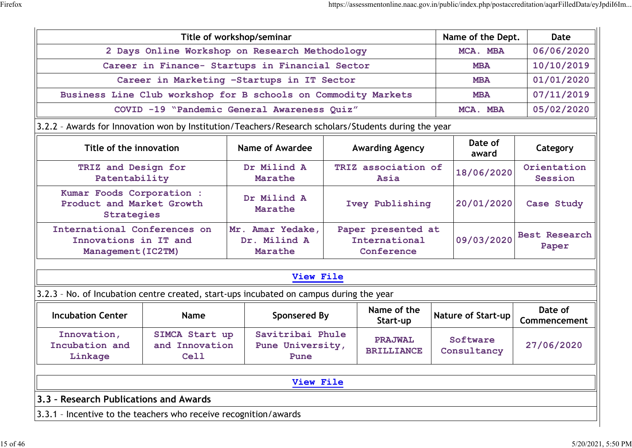| 2 Days Online Workshop on Research Methodology<br>MCA. MBA<br>Career in Finance- Startups in Financial Sector<br><b>MBA</b><br>Career in Marketing -Startups in IT Sector<br><b>MBA</b><br>Business Line Club workshop for B schools on Commodity Markets<br><b>MBA</b><br>COVID -19 "Pandemic General Awareness Quiz"<br>MCA. MBA<br>3.2.2 - Awards for Innovation won by Institution/Teachers/Research scholars/Students during the year<br>Date of<br>Name of Awardee<br>Title of the innovation<br><b>Awarding Agency</b><br>award<br>Dr Milind A<br>TRIZ association of<br>TRIZ and Design for<br>18/06/2020<br>Patentability<br>Marathe<br>Asia<br>Kumar Foods Corporation :<br>Dr Milind A<br>Product and Market Growth<br>20/01/2020<br>Ivey Publishing<br>Marathe<br><b>Strategies</b><br>International Conferences on<br>Mr. Amar Yedake,<br>Paper presented at<br>09/03/2020<br>International<br>Innovations in IT and<br>Dr. Milind A<br>Marathe<br>Conference<br>Management (IC2TM)<br>View File<br>3.2.3 - No. of Incubation centre created, start-ups incubated on campus during the year<br>Name of the<br><b>Sponsered By</b><br><b>Incubation Center</b><br><b>Nature of Start-up</b><br><b>Name</b><br>Start-up<br>Innovation,<br>Savitribai Phule<br>SIMCA Start up<br>Software<br><b>PRAJWAL</b><br>Incubation and<br>and Innovation<br>Pune University,<br>Consultancy<br><b>BRILLIANCE</b><br>Linkage<br><b>Cell</b><br>Pune<br>View File |  |  | Title of workshop/seminar |  |  |  | Name of the Dept. | Date                          |
|------------------------------------------------------------------------------------------------------------------------------------------------------------------------------------------------------------------------------------------------------------------------------------------------------------------------------------------------------------------------------------------------------------------------------------------------------------------------------------------------------------------------------------------------------------------------------------------------------------------------------------------------------------------------------------------------------------------------------------------------------------------------------------------------------------------------------------------------------------------------------------------------------------------------------------------------------------------------------------------------------------------------------------------------------------------------------------------------------------------------------------------------------------------------------------------------------------------------------------------------------------------------------------------------------------------------------------------------------------------------------------------------------------------------------------------------------------------|--|--|---------------------------|--|--|--|-------------------|-------------------------------|
|                                                                                                                                                                                                                                                                                                                                                                                                                                                                                                                                                                                                                                                                                                                                                                                                                                                                                                                                                                                                                                                                                                                                                                                                                                                                                                                                                                                                                                                                  |  |  |                           |  |  |  |                   | 06/06/2020                    |
|                                                                                                                                                                                                                                                                                                                                                                                                                                                                                                                                                                                                                                                                                                                                                                                                                                                                                                                                                                                                                                                                                                                                                                                                                                                                                                                                                                                                                                                                  |  |  |                           |  |  |  |                   | 10/10/2019                    |
|                                                                                                                                                                                                                                                                                                                                                                                                                                                                                                                                                                                                                                                                                                                                                                                                                                                                                                                                                                                                                                                                                                                                                                                                                                                                                                                                                                                                                                                                  |  |  |                           |  |  |  |                   | 01/01/2020                    |
|                                                                                                                                                                                                                                                                                                                                                                                                                                                                                                                                                                                                                                                                                                                                                                                                                                                                                                                                                                                                                                                                                                                                                                                                                                                                                                                                                                                                                                                                  |  |  |                           |  |  |  |                   | 07/11/2019                    |
|                                                                                                                                                                                                                                                                                                                                                                                                                                                                                                                                                                                                                                                                                                                                                                                                                                                                                                                                                                                                                                                                                                                                                                                                                                                                                                                                                                                                                                                                  |  |  |                           |  |  |  |                   | 05/02/2020                    |
|                                                                                                                                                                                                                                                                                                                                                                                                                                                                                                                                                                                                                                                                                                                                                                                                                                                                                                                                                                                                                                                                                                                                                                                                                                                                                                                                                                                                                                                                  |  |  |                           |  |  |  |                   |                               |
|                                                                                                                                                                                                                                                                                                                                                                                                                                                                                                                                                                                                                                                                                                                                                                                                                                                                                                                                                                                                                                                                                                                                                                                                                                                                                                                                                                                                                                                                  |  |  |                           |  |  |  |                   | Category                      |
|                                                                                                                                                                                                                                                                                                                                                                                                                                                                                                                                                                                                                                                                                                                                                                                                                                                                                                                                                                                                                                                                                                                                                                                                                                                                                                                                                                                                                                                                  |  |  |                           |  |  |  |                   | Orientation<br>Session        |
|                                                                                                                                                                                                                                                                                                                                                                                                                                                                                                                                                                                                                                                                                                                                                                                                                                                                                                                                                                                                                                                                                                                                                                                                                                                                                                                                                                                                                                                                  |  |  |                           |  |  |  | Case Study        |                               |
|                                                                                                                                                                                                                                                                                                                                                                                                                                                                                                                                                                                                                                                                                                                                                                                                                                                                                                                                                                                                                                                                                                                                                                                                                                                                                                                                                                                                                                                                  |  |  |                           |  |  |  |                   | <b>Best Research</b><br>Paper |
|                                                                                                                                                                                                                                                                                                                                                                                                                                                                                                                                                                                                                                                                                                                                                                                                                                                                                                                                                                                                                                                                                                                                                                                                                                                                                                                                                                                                                                                                  |  |  |                           |  |  |  |                   |                               |
|                                                                                                                                                                                                                                                                                                                                                                                                                                                                                                                                                                                                                                                                                                                                                                                                                                                                                                                                                                                                                                                                                                                                                                                                                                                                                                                                                                                                                                                                  |  |  |                           |  |  |  |                   |                               |
|                                                                                                                                                                                                                                                                                                                                                                                                                                                                                                                                                                                                                                                                                                                                                                                                                                                                                                                                                                                                                                                                                                                                                                                                                                                                                                                                                                                                                                                                  |  |  |                           |  |  |  |                   | Date of<br>Commencement       |
|                                                                                                                                                                                                                                                                                                                                                                                                                                                                                                                                                                                                                                                                                                                                                                                                                                                                                                                                                                                                                                                                                                                                                                                                                                                                                                                                                                                                                                                                  |  |  |                           |  |  |  | 27/06/2020        |                               |
|                                                                                                                                                                                                                                                                                                                                                                                                                                                                                                                                                                                                                                                                                                                                                                                                                                                                                                                                                                                                                                                                                                                                                                                                                                                                                                                                                                                                                                                                  |  |  |                           |  |  |  |                   |                               |
| 3.3 - Research Publications and Awards                                                                                                                                                                                                                                                                                                                                                                                                                                                                                                                                                                                                                                                                                                                                                                                                                                                                                                                                                                                                                                                                                                                                                                                                                                                                                                                                                                                                                           |  |  |                           |  |  |  |                   |                               |
| 3.3.1 - Incentive to the teachers who receive recognition/awards                                                                                                                                                                                                                                                                                                                                                                                                                                                                                                                                                                                                                                                                                                                                                                                                                                                                                                                                                                                                                                                                                                                                                                                                                                                                                                                                                                                                 |  |  |                           |  |  |  |                   |                               |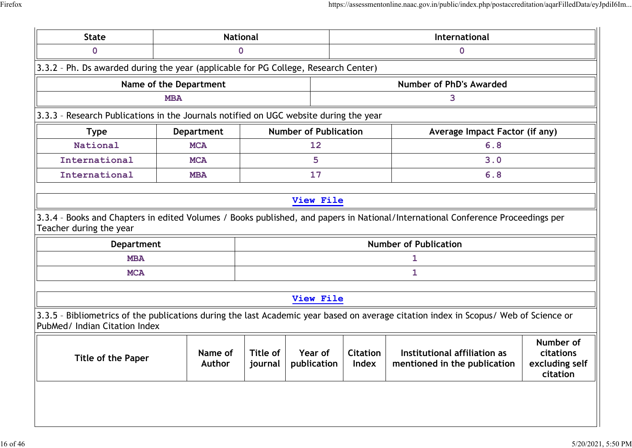|                                                                                       |                        | <b>National</b> | International                |   |                                                                                                                                      |  |  |
|---------------------------------------------------------------------------------------|------------------------|-----------------|------------------------------|---|--------------------------------------------------------------------------------------------------------------------------------------|--|--|
| $\mathbf 0$                                                                           |                        | 0               |                              | 0 |                                                                                                                                      |  |  |
| 3.3.2 - Ph. Ds awarded during the year (applicable for PG College, Research Center)   |                        |                 |                              |   |                                                                                                                                      |  |  |
|                                                                                       | Name of the Department |                 |                              |   | Number of PhD's Awarded                                                                                                              |  |  |
|                                                                                       | <b>MBA</b>             |                 |                              |   | 3                                                                                                                                    |  |  |
| 3.3.3 - Research Publications in the Journals notified on UGC website during the year |                        |                 |                              |   |                                                                                                                                      |  |  |
| <b>Type</b>                                                                           | <b>Department</b>      |                 | <b>Number of Publication</b> |   | Average Impact Factor (if any)                                                                                                       |  |  |
| National                                                                              | <b>MCA</b>             |                 | 12                           |   | 6.8                                                                                                                                  |  |  |
| International                                                                         | <b>MCA</b>             |                 | 5                            |   | 3.0                                                                                                                                  |  |  |
| International                                                                         | <b>MBA</b>             |                 | 17                           |   | 6.8                                                                                                                                  |  |  |
|                                                                                       |                        |                 | View File                    |   |                                                                                                                                      |  |  |
|                                                                                       |                        |                 |                              |   |                                                                                                                                      |  |  |
|                                                                                       |                        |                 |                              |   | 3.3.4 - Books and Chapters in edited Volumes / Books published, and papers in National/International Conference Proceedings per      |  |  |
| <b>Department</b>                                                                     |                        |                 |                              |   | <b>Number of Publication</b>                                                                                                         |  |  |
| <b>MBA</b>                                                                            |                        |                 |                              |   | 1                                                                                                                                    |  |  |
| <b>MCA</b>                                                                            |                        |                 |                              |   | 1                                                                                                                                    |  |  |
| Teacher during the year                                                               |                        |                 | View File                    |   |                                                                                                                                      |  |  |
| PubMed/ Indian Citation Index                                                         |                        |                 |                              |   | 3.3.5 - Bibliometrics of the publications during the last Academic year based on average citation index in Scopus/ Web of Science or |  |  |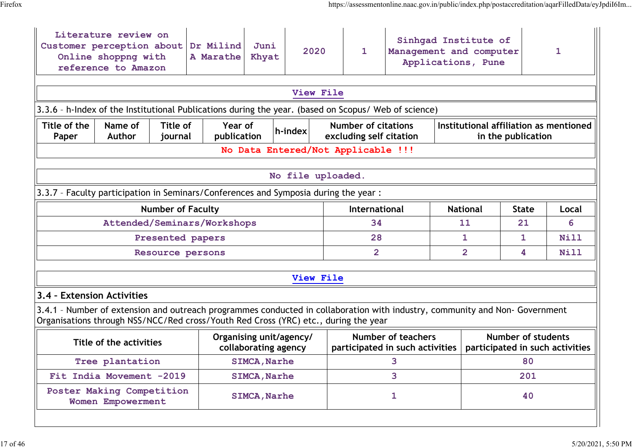|                            | Literature review on<br>Customer perception about<br>Online shoppng with<br>reference to Amazon                                                                                                                   |                          | Dr Milind<br>A Marathe | Juni<br>Khyat                                   | 2020                               |                                                       | $\mathbf{1}$   | Sinhqad Institute of<br>Management and computer<br>Applications, Pune |                 |                    |                           | 1                                      |                                 |
|----------------------------|-------------------------------------------------------------------------------------------------------------------------------------------------------------------------------------------------------------------|--------------------------|------------------------|-------------------------------------------------|------------------------------------|-------------------------------------------------------|----------------|-----------------------------------------------------------------------|-----------------|--------------------|---------------------------|----------------------------------------|---------------------------------|
|                            |                                                                                                                                                                                                                   |                          |                        |                                                 | View File                          |                                                       |                |                                                                       |                 |                    |                           |                                        |                                 |
|                            | 3.3.6 - h-Index of the Institutional Publications during the year. (based on Scopus/ Web of science)                                                                                                              |                          |                        |                                                 |                                    |                                                       |                |                                                                       |                 |                    |                           |                                        |                                 |
| Title of the<br>Paper      | Title of<br>Year of<br>Name of<br>h-index<br>Author<br>publication<br>journal                                                                                                                                     |                          |                        |                                                 |                                    | <b>Number of citations</b><br>excluding self citation |                |                                                                       |                 | in the publication |                           | Institutional affiliation as mentioned |                                 |
|                            |                                                                                                                                                                                                                   |                          |                        |                                                 | No Data Entered/Not Applicable !!! |                                                       |                |                                                                       |                 |                    |                           |                                        |                                 |
|                            |                                                                                                                                                                                                                   |                          |                        |                                                 | No file uploaded.                  |                                                       |                |                                                                       |                 |                    |                           |                                        |                                 |
|                            |                                                                                                                                                                                                                   |                          |                        |                                                 |                                    |                                                       |                |                                                                       |                 |                    |                           |                                        |                                 |
|                            | 3.3.7 - Faculty participation in Seminars/Conferences and Symposia during the year :                                                                                                                              |                          |                        |                                                 |                                    |                                                       |                |                                                                       |                 |                    |                           |                                        |                                 |
|                            |                                                                                                                                                                                                                   | <b>Number of Faculty</b> |                        |                                                 |                                    | International                                         |                |                                                                       | <b>National</b> | <b>State</b>       |                           | Local                                  |                                 |
|                            | Attended/Seminars/Workshops                                                                                                                                                                                       |                          |                        |                                                 |                                    |                                                       | 34             |                                                                       |                 | 11                 | 21                        |                                        | 6                               |
|                            |                                                                                                                                                                                                                   | Presented papers         |                        |                                                 |                                    |                                                       | 28             |                                                                       |                 | 1                  | 1                         |                                        | Nill                            |
|                            |                                                                                                                                                                                                                   | Resource persons         |                        |                                                 |                                    |                                                       | $\overline{2}$ |                                                                       |                 | $\overline{2}$     | 4                         |                                        | Nill                            |
|                            |                                                                                                                                                                                                                   |                          |                        |                                                 | View File                          |                                                       |                |                                                                       |                 |                    |                           |                                        |                                 |
| 3.4 - Extension Activities |                                                                                                                                                                                                                   |                          |                        |                                                 |                                    |                                                       |                |                                                                       |                 |                    |                           |                                        |                                 |
|                            | 3.4.1 - Number of extension and outreach programmes conducted in collaboration with industry, community and Non-Government<br>Organisations through NSS/NCC/Red cross/Youth Red Cross (YRC) etc., during the year |                          |                        |                                                 |                                    |                                                       |                |                                                                       |                 |                    |                           |                                        |                                 |
|                            | Title of the activities                                                                                                                                                                                           |                          |                        | Organising unit/agency/<br>collaborating agency |                                    |                                                       |                | <b>Number of teachers</b><br>participated in such activities          |                 |                    | <b>Number of students</b> |                                        | participated in such activities |
|                            | Tree plantation                                                                                                                                                                                                   |                          |                        | <b>SIMCA, Narhe</b>                             |                                    |                                                       |                | 3                                                                     |                 |                    | 80                        |                                        |                                 |
|                            | Fit India Movement -2019                                                                                                                                                                                          |                          |                        | <b>SIMCA, Narhe</b>                             |                                    |                                                       |                | 3                                                                     |                 |                    | 201                       |                                        |                                 |
|                            | Poster Making Competition<br>Women Empowerment                                                                                                                                                                    |                          |                        | <b>SIMCA, Narhe</b>                             |                                    | 1                                                     |                |                                                                       |                 |                    | 40                        |                                        |                                 |
|                            |                                                                                                                                                                                                                   |                          |                        |                                                 |                                    |                                                       |                |                                                                       |                 |                    |                           |                                        |                                 |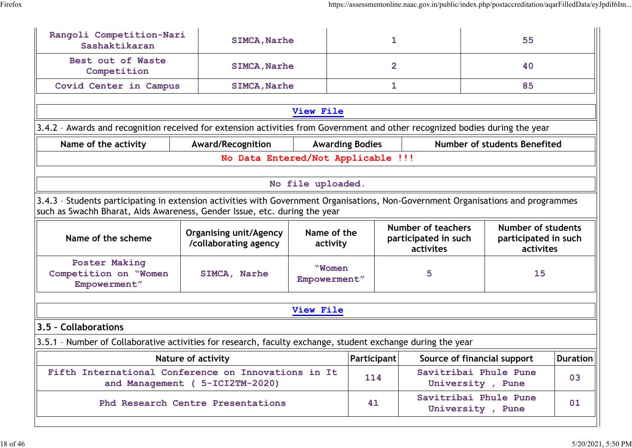| Rangoli Competition-Nari<br>Sashaktikaran                                                                                                                                                                      | <b>SIMCA, Narhe</b>                                    |                         | 1                                                              |              |                                           | 55                                                             |          |
|----------------------------------------------------------------------------------------------------------------------------------------------------------------------------------------------------------------|--------------------------------------------------------|-------------------------|----------------------------------------------------------------|--------------|-------------------------------------------|----------------------------------------------------------------|----------|
| Best out of Waste<br>Competition                                                                                                                                                                               | <b>SIMCA, Narhe</b>                                    |                         | $\overline{2}$                                                 |              |                                           | 40                                                             |          |
| Covid Center in Campus                                                                                                                                                                                         | <b>SIMCA, Narhe</b>                                    |                         |                                                                | $\mathbf{1}$ |                                           | 85                                                             |          |
|                                                                                                                                                                                                                |                                                        | View File               |                                                                |              |                                           |                                                                |          |
| 3.4.2 - Awards and recognition received for extension activities from Government and other recognized bodies during the year                                                                                   |                                                        |                         |                                                                |              |                                           |                                                                |          |
| Name of the activity                                                                                                                                                                                           | Award/Recognition                                      |                         | <b>Awarding Bodies</b>                                         |              |                                           | Number of students Benefited                                   |          |
|                                                                                                                                                                                                                | No Data Entered/Not Applicable !!!                     |                         |                                                                |              |                                           |                                                                |          |
|                                                                                                                                                                                                                |                                                        | No file uploaded.       |                                                                |              |                                           |                                                                |          |
| 3.4.3 - Students participating in extension activities with Government Organisations, Non-Government Organisations and programmes<br>such as Swachh Bharat, Aids Awareness, Gender Issue, etc. during the year |                                                        |                         |                                                                |              |                                           |                                                                |          |
| Name of the scheme                                                                                                                                                                                             | <b>Organising unit/Agency</b><br>/collaborating agency | Name of the<br>activity | <b>Number of teachers</b><br>participated in such<br>activites |              |                                           | <b>Number of students</b><br>participated in such<br>activites |          |
| <b>Poster Making</b><br>Competition on "Women<br>Empowerment"                                                                                                                                                  | SIMCA, Narhe                                           | "Women<br>Empowerment"  |                                                                |              | 5                                         | 15                                                             |          |
|                                                                                                                                                                                                                |                                                        | View File               |                                                                |              |                                           |                                                                |          |
| 3.5 - Collaborations                                                                                                                                                                                           |                                                        |                         |                                                                |              |                                           |                                                                |          |
| 3.5.1 - Number of Collaborative activities for research, faculty exchange, student exchange during the year                                                                                                    |                                                        |                         |                                                                |              |                                           |                                                                |          |
|                                                                                                                                                                                                                | <b>Nature of activity</b>                              |                         | Participant                                                    |              |                                           | Source of financial support                                    | Duration |
| Fifth International Conference on Innovations in It                                                                                                                                                            | and Management ( 5-ICI2TM-2020)                        |                         | 114                                                            |              | Savitribai Phule Pune<br>University, Pune |                                                                | 03       |
| Phd Research Centre Presentations                                                                                                                                                                              |                                                        |                         | 41                                                             |              | Savitribai Phule Pune<br>University, Pune |                                                                | 01       |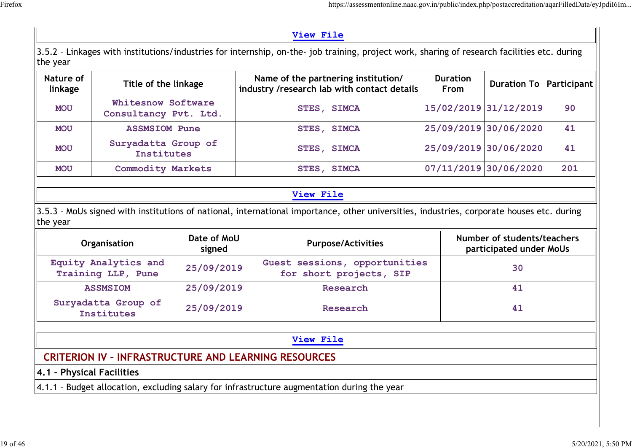|--|--|

3.5.2 – Linkages with institutions/industries for internship, on-the- job training, project work, sharing of research facilities etc. during the year

| Nature of<br>linkage | Title of the linkage                        | Name of the partnering institution/<br>$^{\dagger}$ industry /research lab with contact details $_{\textrm{\tiny{H}}}$ | <b>Duration</b><br>From | Duration To   Participant |     |
|----------------------|---------------------------------------------|------------------------------------------------------------------------------------------------------------------------|-------------------------|---------------------------|-----|
| <b>MOU</b>           | Whitesnow Software<br>Consultancy Pvt. Ltd. | <b>STES, SIMCA</b>                                                                                                     |                         | 15/02/2019 31/12/2019     | 90  |
| <b>MOU</b>           | <b>ASSMSIOM Pune</b>                        | <b>STES, SIMCA</b>                                                                                                     | 25/09/2019 30/06/2020   |                           | 41  |
| <b>MOU</b>           | Suryadatta Group of<br>Institutes           | STES, SIMCA                                                                                                            | 25/09/2019 30/06/2020   |                           | 41  |
| <b>MOU</b>           | <b>Commodity Markets</b>                    | STES, SIMCA                                                                                                            | 07/11/2019 30/06/2020   |                           | 201 |

### **View File**

3.5.3 – MoUs signed with institutions of national, international importance, other universities, industries, corporate houses etc. during the year

| <b>Organisation</b>                                         | Date of MoU<br><b>Purpose/Activities</b><br>signed |                                                                                                     | Number of students/teachers<br>participated under MoUs |
|-------------------------------------------------------------|----------------------------------------------------|-----------------------------------------------------------------------------------------------------|--------------------------------------------------------|
| Equity Analytics and<br>Training LLP, Pune                  | 25/09/2019                                         | Guest sessions, opportunities<br>for short projects, SIP                                            | 30                                                     |
| <b>ASSMSIOM</b>                                             | 25/09/2019                                         | Research                                                                                            | 41                                                     |
| Suryadatta Group of<br>Institutes                           | 25/09/2019                                         | Research                                                                                            | 41                                                     |
|                                                             |                                                    |                                                                                                     |                                                        |
|                                                             |                                                    | <b>View File</b>                                                                                    |                                                        |
| <b>CRITERION IV - INFRASTRUCTURE AND LEARNING RESOURCES</b> |                                                    |                                                                                                     |                                                        |
| 4.1 - Physical Facilities                                   |                                                    |                                                                                                     |                                                        |
|                                                             |                                                    | $\vert$ 4.1.1 - Budget allocation, excluding salary for infrastructure augmentation during the year |                                                        |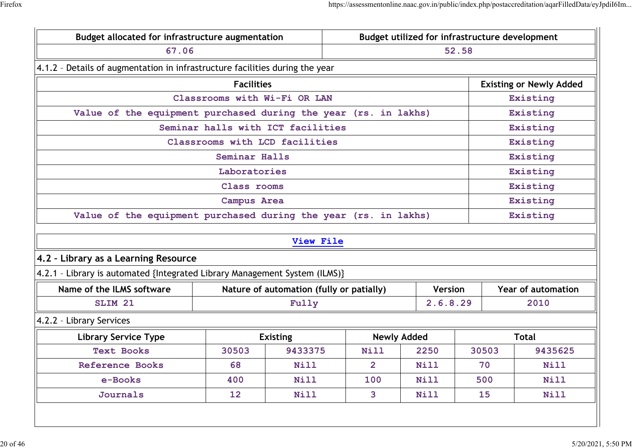| Budget allocated for infrastructure augmentation<br>Budget utilized for infrastructure development |                                                                            |                                          |                |                    |       |          |                                |
|----------------------------------------------------------------------------------------------------|----------------------------------------------------------------------------|------------------------------------------|----------------|--------------------|-------|----------|--------------------------------|
| 67.06                                                                                              |                                                                            |                                          |                |                    | 52.58 |          |                                |
| 4.1.2 - Details of augmentation in infrastructure facilities during the year                       |                                                                            |                                          |                |                    |       |          |                                |
|                                                                                                    | <b>Facilities</b>                                                          |                                          |                |                    |       |          | <b>Existing or Newly Added</b> |
| Classrooms with Wi-Fi OR LAN                                                                       |                                                                            |                                          |                |                    |       |          | Existing                       |
| Value of the equipment purchased during the year (rs. in lakhs)                                    |                                                                            |                                          |                |                    |       |          | Existing                       |
|                                                                                                    | Seminar halls with ICT facilities                                          |                                          |                |                    |       |          | Existing                       |
|                                                                                                    | Classrooms with LCD facilities                                             |                                          |                |                    |       |          | Existing                       |
|                                                                                                    | Seminar Halls                                                              |                                          |                |                    |       |          | Existing                       |
|                                                                                                    | Laboratories                                                               |                                          |                |                    |       |          | Existing                       |
|                                                                                                    | Class rooms                                                                |                                          |                |                    |       |          | Existing                       |
|                                                                                                    | <b>Campus Area</b>                                                         |                                          |                |                    |       | Existing |                                |
| Value of the equipment purchased during the year (rs. in lakhs)                                    |                                                                            |                                          |                |                    |       | Existing |                                |
|                                                                                                    |                                                                            | View File                                |                |                    |       |          |                                |
| 4.2 - Library as a Learning Resource                                                               |                                                                            |                                          |                |                    |       |          |                                |
| 4.2.1 - Library is automated {Integrated Library Management System (ILMS)}                         |                                                                            |                                          |                |                    |       |          |                                |
| Name of the ILMS software                                                                          |                                                                            | Nature of automation (fully or patially) |                | <b>Version</b>     |       |          | <b>Year of automation</b>      |
| SLIM <sub>21</sub>                                                                                 |                                                                            | Fully                                    |                | 2.6.8.29           |       |          | 2010                           |
| 4.2.2 - Library Services                                                                           |                                                                            |                                          |                |                    |       |          |                                |
| <b>Library Service Type</b>                                                                        |                                                                            | <b>Existing</b>                          |                | <b>Newly Added</b> |       |          | <b>Total</b>                   |
| <b>Text Books</b>                                                                                  | 30503                                                                      | 9433375                                  | <b>Nill</b>    | 2250               | 30503 |          | 9435625                        |
| <b>Reference Books</b>                                                                             | 68                                                                         | <b>Nill</b>                              | $\overline{2}$ | <b>Nill</b>        | 70    |          | <b>Nill</b>                    |
| e-Books                                                                                            | 400                                                                        | <b>Nill</b>                              | 100            | <b>Nill</b>        | 500   |          | <b>Nill</b>                    |
|                                                                                                    | 3 <sup>1</sup><br>Journals<br>12 <sub>2</sub><br>Nill<br><b>Nill</b><br>15 |                                          |                |                    |       | Nill     |                                |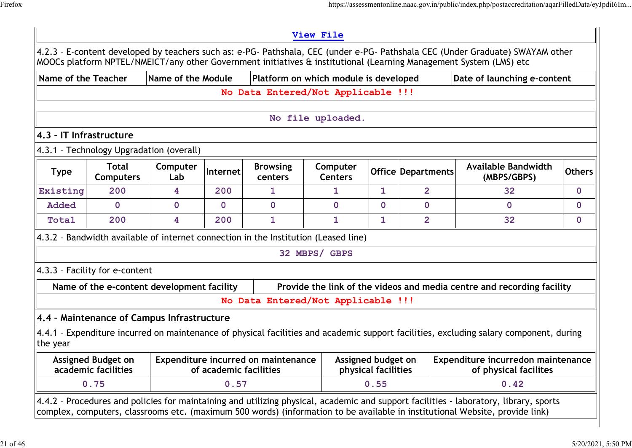|                         |                                                                                     |                    |                        |                                            | <b>View File</b>                      |                                           |                    |                                                                                                                                                                                                                                                                       |               |
|-------------------------|-------------------------------------------------------------------------------------|--------------------|------------------------|--------------------------------------------|---------------------------------------|-------------------------------------------|--------------------|-----------------------------------------------------------------------------------------------------------------------------------------------------------------------------------------------------------------------------------------------------------------------|---------------|
|                         |                                                                                     |                    |                        |                                            |                                       |                                           |                    | 4.2.3 - E-content developed by teachers such as: e-PG- Pathshala, CEC (under e-PG- Pathshala CEC (Under Graduate) SWAYAM other<br>MOOCs platform NPTEL/NMEICT/any other Government initiatives & institutional (Learning Management System (LMS) etc                  |               |
| Name of the Teacher     |                                                                                     | Name of the Module |                        |                                            | Platform on which module is developed |                                           |                    | Date of launching e-content                                                                                                                                                                                                                                           |               |
|                         |                                                                                     |                    |                        | No Data Entered/Not Applicable !!!         |                                       |                                           |                    |                                                                                                                                                                                                                                                                       |               |
|                         |                                                                                     |                    |                        |                                            |                                       |                                           |                    |                                                                                                                                                                                                                                                                       |               |
|                         |                                                                                     |                    |                        |                                            | No file uploaded.                     |                                           |                    |                                                                                                                                                                                                                                                                       |               |
| 4.3 - IT Infrastructure |                                                                                     |                    |                        |                                            |                                       |                                           |                    |                                                                                                                                                                                                                                                                       |               |
|                         | 4.3.1 - Technology Upgradation (overall)                                            |                    |                        |                                            |                                       |                                           |                    |                                                                                                                                                                                                                                                                       |               |
| <b>Type</b>             | <b>Total</b><br><b>Computers</b>                                                    | Computer<br>Lab    | Internet               | <b>Browsing</b><br>centers                 | Computer<br><b>Centers</b>            |                                           | Office Departments | <b>Available Bandwidth</b><br>(MBPS/GBPS)                                                                                                                                                                                                                             | <b>Others</b> |
| Existing                | 200                                                                                 | 4                  | 200                    | 1                                          | 1.                                    | $\mathbf{1}$                              | $\overline{2}$     | 32                                                                                                                                                                                                                                                                    | $\Omega$      |
| <b>Added</b>            | $\overline{0}$                                                                      | $\mathbf{0}$       | $\mathbf{O}$           | $\Omega$                                   | $\overline{0}$                        | $\mathbf{O}$                              | $\overline{0}$     | $\mathbf{0}$                                                                                                                                                                                                                                                          | $\mathbf{O}$  |
| Total                   | 200                                                                                 | 4                  | 200                    | $\mathbf{1}$                               | $\mathbf{1}$                          | $\mathbf{1}$                              | $\overline{2}$     | 32                                                                                                                                                                                                                                                                    | $\mathbf 0$   |
|                         | 4.3.2 - Bandwidth available of internet connection in the Institution (Leased line) |                    |                        |                                            |                                       |                                           |                    |                                                                                                                                                                                                                                                                       |               |
|                         |                                                                                     |                    |                        |                                            | 32 MBPS/ GBPS                         |                                           |                    |                                                                                                                                                                                                                                                                       |               |
|                         | 4.3.3 - Facility for e-content                                                      |                    |                        |                                            |                                       |                                           |                    |                                                                                                                                                                                                                                                                       |               |
|                         | Name of the e-content development facility                                          |                    |                        |                                            |                                       |                                           |                    | Provide the link of the videos and media centre and recording facility                                                                                                                                                                                                |               |
|                         |                                                                                     |                    |                        | No Data Entered/Not Applicable !!!         |                                       |                                           |                    |                                                                                                                                                                                                                                                                       |               |
|                         | 4.4 - Maintenance of Campus Infrastructure                                          |                    |                        |                                            |                                       |                                           |                    |                                                                                                                                                                                                                                                                       |               |
| the year                |                                                                                     |                    |                        |                                            |                                       |                                           |                    | 4.4.1 - Expenditure incurred on maintenance of physical facilities and academic support facilities, excluding salary component, during                                                                                                                                |               |
|                         | <b>Assigned Budget on</b><br>academic facilities                                    |                    | of academic facilities | <b>Expenditure incurred on maintenance</b> |                                       | Assigned budget on<br>physical facilities |                    | Expenditure incurredon maintenance<br>of physical facilites                                                                                                                                                                                                           |               |
|                         | 0.75                                                                                |                    | 0.57                   |                                            |                                       | 0.55                                      |                    | 0.42                                                                                                                                                                                                                                                                  |               |
|                         |                                                                                     |                    |                        |                                            |                                       |                                           |                    | 4.4.2 - Procedures and policies for maintaining and utilizing physical, academic and support facilities - laboratory, library, sports<br>complex, computers, classrooms etc. (maximum 500 words) (information to be available in institutional Website, provide link) |               |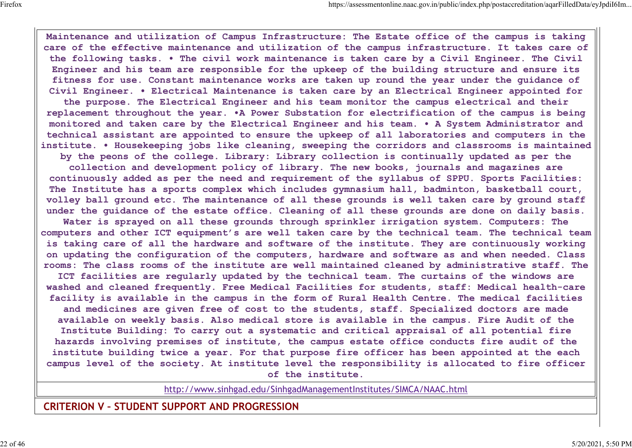**Maintenance and utilization of Campus Infrastructure: The Estate office of the campus is taking care of the effective maintenance and utilization of the campus infrastructure. It takes care of the following tasks. • The civil work maintenance is taken care by a Civil Engineer. The Civil Engineer and his team are responsible for the upkeep of the building structure and ensure its fitness for use. Constant maintenance works are taken up round the year under the guidance of Civil Engineer. • Electrical Maintenance is taken care by an Electrical Engineer appointed for the purpose. The Electrical Engineer and his team monitor the campus electrical and their replacement throughout the year. •A Power Substation for electrification of the campus is being monitored and taken care by the Electrical Engineer and his team. • A System Administrator and technical assistant are appointed to ensure the upkeep of all laboratories and computers in the institute. • Housekeeping jobs like cleaning, sweeping the corridors and classrooms is maintained by the peons of the college. Library: Library collection is continually updated as per the**

**collection and development policy of library. The new books, journals and magazines are continuously added as per the need and requirement of the syllabus of SPPU. Sports Facilities: The Institute has a sports complex which includes gymnasium hall, badminton, basketball court, volley ball ground etc. The maintenance of all these grounds is well taken care by ground staff under the guidance of the estate office. Cleaning of all these grounds are done on daily basis.**

**Water is sprayed on all these grounds through sprinkler irrigation system. Computers: The computers and other ICT equipment's are well taken care by the technical team. The technical team is taking care of all the hardware and software of the institute. They are continuously working on updating the configuration of the computers, hardware and software as and when needed. Class rooms: The class rooms of the institute are well maintained cleaned by administrative staff. The**

**ICT facilities are regularly updated by the technical team. The curtains of the windows are washed and cleaned frequently. Free Medical Facilities for students, staff: Medical health-care facility is available in the campus in the form of Rural Health Centre. The medical facilities and medicines are given free of cost to the students, staff. Specialized doctors are made available on weekly basis. Also medical store is available in the campus. Fire Audit of the Institute Building: To carry out a systematic and critical appraisal of all potential fire hazards involving premises of institute, the campus estate office conducts fire audit of the institute building twice a year. For that purpose fire officer has been appointed at the each campus level of the society. At institute level the responsibility is allocated to fire officer of the institute.**

http://www.sinhgad.edu/SinhgadManagementInstitutes/SIMCA/NAAC.html

**CRITERION V – STUDENT SUPPORT AND PROGRESSION**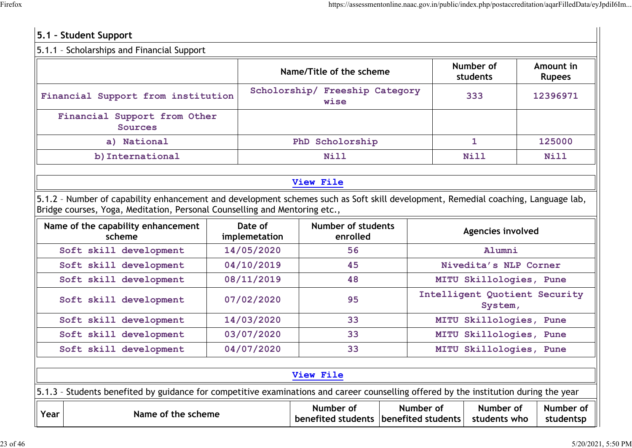#### **5.1 – Student Support** 5.1.1 – Scholarships and Financial Support **Name/Title of the scheme Number of students Amount in Rupees Financial Support from institution Scholorship/ Freeship Category wise <sup>333</sup> <sup>12396971</sup> Financial Support from Other Sources a) National PhD Scholorship 1 125000 b)International Nill Nill Nill View File** 5.1.2 – Number of capability enhancement and development schemes such as Soft skill development, Remedial coaching, Language lab, Bridge courses, Yoga, Meditation, Personal Counselling and Mentoring etc., **Name of the capability enhancement scheme Date of implemetation Number of students enrolled Agencies involved Soft skill development 14/05/2020 56 Alumni Soft skill development 04/10/2019 45 Nivedita's NLP Corner Soft skill development 08/11/2019 48 MITU Skillologies, Pune Soft skill development 07/02/2020 <sup>95</sup> Intelligent Quotient Security System, Soft skill development 14/03/2020 33 MITU Skillologies, Pune Soft skill development 03/07/2020 33 MITU Skillologies, Pune Soft skill development 04/07/2020 33 MITU Skillologies, Pune View File** 5.1.3 – Students benefited by guidance for competitive examinations and career counselling offered by the institution during the year **Year Name of the scheme Number of benefited students benefited students Number of Number of students who Number of studentsp**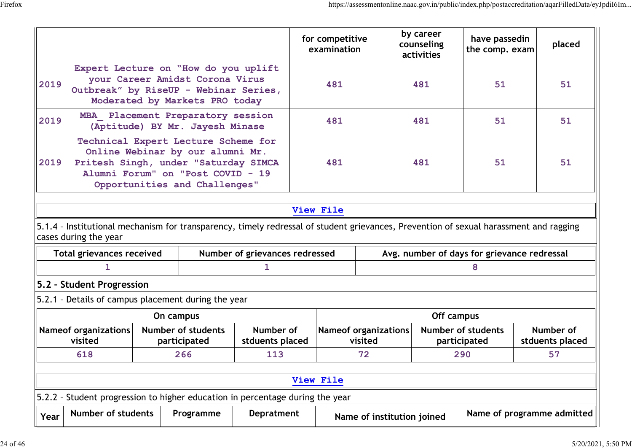|           |                                                                                                                                                                                       |  |                                           |                                |     | for competitive<br>examination |                                        | by career<br>counseling<br>activities       | have passedin<br>the comp. exam |    | placed                       |
|-----------|---------------------------------------------------------------------------------------------------------------------------------------------------------------------------------------|--|-------------------------------------------|--------------------------------|-----|--------------------------------|----------------------------------------|---------------------------------------------|---------------------------------|----|------------------------------|
| 2019      | Expert Lecture on "How do you uplift<br>your Career Amidst Corona Virus<br>Outbreak" by RiseUP - Webinar Series,<br>Moderated by Markets PRO today                                    |  |                                           |                                | 481 |                                | 481                                    | 51                                          |                                 | 51 |                              |
| 2019      | MBA Placement Preparatory session<br>(Aptitude) BY Mr. Jayesh Minase                                                                                                                  |  |                                           |                                |     | 481                            |                                        | 481                                         | 51                              |    | 51                           |
| 2019      | Technical Expert Lecture Scheme for<br>Online Webinar by our alumni Mr.<br>Pritesh Singh, under "Saturday SIMCA<br>Alumni Forum" on "Post COVID - 19<br>Opportunities and Challenges" |  |                                           |                                |     | 481                            |                                        | 481                                         | 51                              |    | 51                           |
|           |                                                                                                                                                                                       |  |                                           |                                |     | View File                      |                                        |                                             |                                 |    |                              |
|           | 5.1.4 - Institutional mechanism for transparency, timely redressal of student grievances, Prevention of sexual harassment and ragging<br>cases during the year                        |  |                                           |                                |     |                                |                                        |                                             |                                 |    |                              |
|           | <b>Total grievances received</b>                                                                                                                                                      |  |                                           | Number of grievances redressed |     |                                |                                        | Avg. number of days for grievance redressal |                                 |    |                              |
|           | 1                                                                                                                                                                                     |  |                                           | 1.                             |     |                                |                                        |                                             | 8                               |    |                              |
|           | 5.2 - Student Progression                                                                                                                                                             |  |                                           |                                |     |                                |                                        |                                             |                                 |    |                              |
|           | 5.2.1 - Details of campus placement during the year                                                                                                                                   |  |                                           |                                |     |                                |                                        |                                             |                                 |    |                              |
|           |                                                                                                                                                                                       |  | On campus                                 |                                |     |                                |                                        | Off campus                                  |                                 |    |                              |
|           | <b>Nameof organizations</b><br>visited                                                                                                                                                |  | <b>Number of students</b><br>participated | Number of<br>stduents placed   |     |                                | <b>Nameof organizations</b><br>visited | <b>Number of students</b><br>participated   |                                 |    | Number of<br>stduents placed |
|           | 618<br>266<br>113                                                                                                                                                                     |  |                                           | 72<br>290                      |     | 57                             |                                        |                                             |                                 |    |                              |
|           | View File                                                                                                                                                                             |  |                                           |                                |     |                                |                                        |                                             |                                 |    |                              |
| $5.2.2 -$ | Student progression to higher education in percentage during the year                                                                                                                 |  |                                           |                                |     |                                |                                        |                                             |                                 |    |                              |
| Year      | <b>Number of students</b><br>Name of programme admitted<br><b>Depratment</b><br>Programme<br>Name of institution joined                                                               |  |                                           |                                |     |                                |                                        |                                             |                                 |    |                              |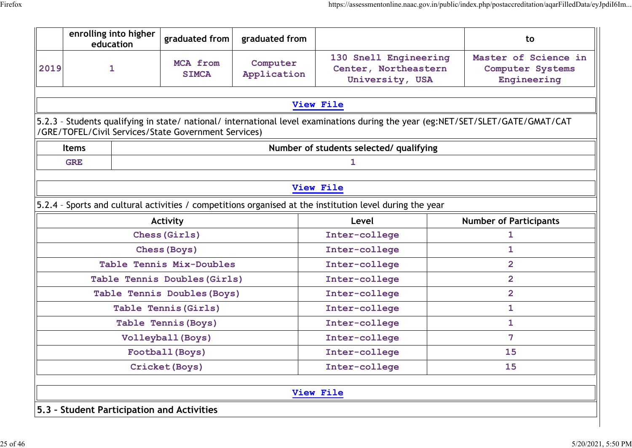|                                                         | enrolling into higher<br>education |                     | graduated from                                       | graduated from          |                                                                                                          | to                                                                                                                              |  |
|---------------------------------------------------------|------------------------------------|---------------------|------------------------------------------------------|-------------------------|----------------------------------------------------------------------------------------------------------|---------------------------------------------------------------------------------------------------------------------------------|--|
| 2019                                                    | $\mathbf{1}$                       |                     | MCA from<br><b>SIMCA</b>                             | Computer<br>Application | 130 Snell Engineering<br>Center, Northeastern<br>University, USA                                         | Master of Science in<br><b>Computer Systems</b><br>Engineering                                                                  |  |
|                                                         |                                    |                     |                                                      |                         | <b>View File</b>                                                                                         |                                                                                                                                 |  |
|                                                         |                                    |                     | /GRE/TOFEL/Civil Services/State Government Services) |                         |                                                                                                          | 5.2.3 - Students qualifying in state/ national/ international level examinations during the year (eg:NET/SET/SLET/GATE/GMAT/CAT |  |
| Number of students selected/ qualifying<br><b>Items</b> |                                    |                     |                                                      |                         |                                                                                                          |                                                                                                                                 |  |
|                                                         | 1<br><b>GRE</b>                    |                     |                                                      |                         |                                                                                                          |                                                                                                                                 |  |
|                                                         |                                    |                     |                                                      |                         |                                                                                                          |                                                                                                                                 |  |
|                                                         |                                    |                     |                                                      |                         | <b>View File</b>                                                                                         |                                                                                                                                 |  |
|                                                         |                                    |                     |                                                      |                         | 5.2.4 - Sports and cultural activities / competitions organised at the institution level during the year |                                                                                                                                 |  |
|                                                         |                                    |                     | Activity                                             |                         | Level                                                                                                    | <b>Number of Participants</b>                                                                                                   |  |
| Chess (Girls)                                           |                                    |                     |                                                      |                         | Inter-college                                                                                            | 1                                                                                                                               |  |
|                                                         |                                    |                     | <b>Chess (Boys)</b>                                  |                         | Inter-college                                                                                            | 1                                                                                                                               |  |
|                                                         |                                    |                     | Table Tennis Mix-Doubles                             |                         | Inter-college                                                                                            | $\overline{2}$                                                                                                                  |  |
|                                                         |                                    |                     | Table Tennis Doubles (Girls)                         |                         | Inter-college                                                                                            | $\overline{2}$                                                                                                                  |  |
|                                                         |                                    |                     | Table Tennis Doubles (Boys)                          |                         | Inter-college                                                                                            | $\overline{2}$                                                                                                                  |  |
|                                                         |                                    |                     | Table Tennis (Girls)                                 |                         | Inter-college                                                                                            | $\mathbf{1}$                                                                                                                    |  |
|                                                         |                                    | Table Tennis (Boys) |                                                      | Inter-college           | $\mathbf{1}$                                                                                             |                                                                                                                                 |  |
|                                                         |                                    | Volleyball (Boys)   |                                                      |                         | Inter-college                                                                                            | 7                                                                                                                               |  |
|                                                         | Football (Boys)                    |                     |                                                      |                         | Inter-college                                                                                            | 15                                                                                                                              |  |
|                                                         |                                    |                     | Cricket (Boys)                                       |                         | Inter-college                                                                                            | 15                                                                                                                              |  |
|                                                         |                                    |                     |                                                      |                         |                                                                                                          |                                                                                                                                 |  |
|                                                         |                                    |                     |                                                      |                         | View File                                                                                                |                                                                                                                                 |  |
|                                                         |                                    |                     | 5.3 - Student Participation and Activities           |                         |                                                                                                          |                                                                                                                                 |  |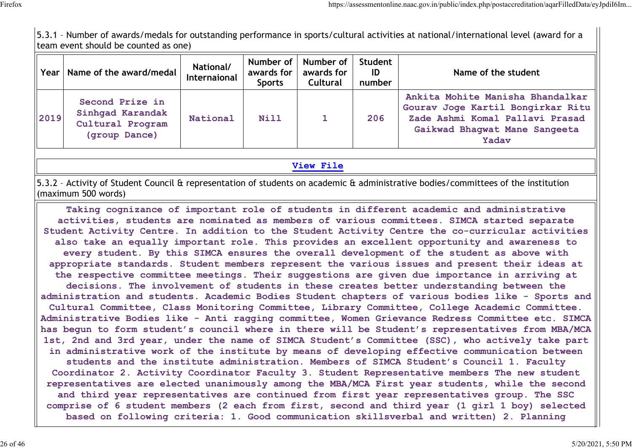5.3.1 – Number of awards/medals for outstanding performance in sports/cultural activities at national/international level (award for a team event should be counted as one)

| Year | Name of the award/medal                                                  | <b>National/</b><br>Internaional | awards for<br><b>Sports</b> | Number of   Number of  <br>awards for<br><b>Cultural</b> | Student<br>ID<br>number | Name of the student                                                                                                                                |
|------|--------------------------------------------------------------------------|----------------------------------|-----------------------------|----------------------------------------------------------|-------------------------|----------------------------------------------------------------------------------------------------------------------------------------------------|
| 2019 | Second Prize in<br>Sinhqad Karandak<br>Cultural Program<br>(group Dance) | National                         | <b>Nill</b>                 |                                                          | 206                     | Ankita Mohite Manisha Bhandalkar<br>Gourav Joge Kartil Bongirkar Ritu<br>Zade Ashmi Komal Pallavi Prasad<br>Gaikwad Bhaqwat Mane Sangeeta<br>Yadav |

#### **View File**

5.3.2 – Activity of Student Council & representation of students on academic & administrative bodies/committees of the institution (maximum 500 words)

**Taking cognizance of important role of students in different academic and administrative activities, students are nominated as members of various committees. SIMCA started separate Student Activity Centre. In addition to the Student Activity Centre the co-curricular activities also take an equally important role. This provides an excellent opportunity and awareness to every student. By this SIMCA ensures the overall development of the student as above with appropriate standards. Student members represent the various issues and present their ideas at the respective committee meetings. Their suggestions are given due importance in arriving at decisions. The involvement of students in these creates better understanding between the administration and students. Academic Bodies Student chapters of various bodies like - Sports and Cultural Committee, Class Monitoring Committee, Library Committee, College Academic Committee. Administrative Bodies like - Anti ragging committee, Women Grievance Redress Committee etc. SIMCA has begun to form student's council where in there will be Student's representatives from MBA/MCA 1st, 2nd and 3rd year, under the name of SIMCA Student's Committee (SSC), who actively take part in administrative work of the institute by means of developing effective communication between students and the institute administration. Members of SIMCA Student's Council 1. Faculty Coordinator 2. Activity Coordinator Faculty 3. Student Representative members The new student representatives are elected unanimously among the MBA/MCA First year students, while the second and third year representatives are continued from first year representatives group. The SSC comprise of 6 student members (2 each from first, second and third year (1 girl 1 boy) selected based on following criteria: 1. Good communication skillsverbal and written) 2. Planning**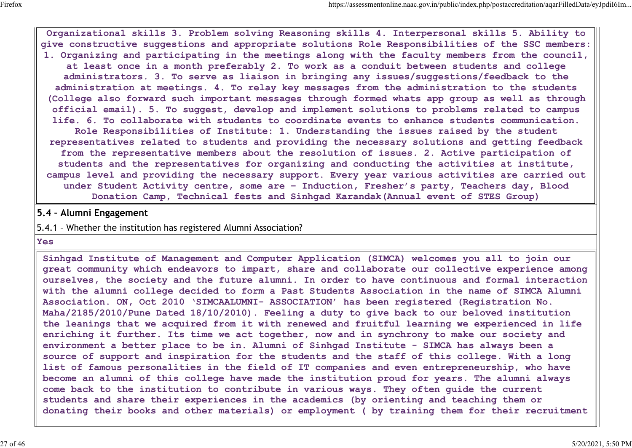**Organizational skills 3. Problem solving Reasoning skills 4. Interpersonal skills 5. Ability to give constructive suggestions and appropriate solutions Role Responsibilities of the SSC members: 1. Organizing and participating in the meetings along with the faculty members from the council, at least once in a month preferably 2. To work as a conduit between students and college administrators. 3. To serve as liaison in bringing any issues/suggestions/feedback to the administration at meetings. 4. To relay key messages from the administration to the students (College also forward such important messages through formed whats app group as well as through official email). 5. To suggest, develop and implement solutions to problems related to campus life. 6. To collaborate with students to coordinate events to enhance students communication. Role Responsibilities of Institute: 1. Understanding the issues raised by the student representatives related to students and providing the necessary solutions and getting feedback from the representative members about the resolution of issues. 2. Active participation of students and the representatives for organizing and conducting the activities at institute, campus level and providing the necessary support. Every year various activities are carried out under Student Activity centre, some are – Induction, Fresher's party, Teachers day, Blood Donation Camp, Technical fests and Sinhgad Karandak(Annual event of STES Group)**

#### **5.4 – Alumni Engagement**

#### 5.4.1 – Whether the institution has registered Alumni Association?

**Yes**

**Sinhgad Institute of Management and Computer Application (SIMCA) welcomes you all to join our great community which endeavors to impart, share and collaborate our collective experience among ourselves, the society and the future alumni. In order to have continuous and formal interaction with the alumni college decided to form a Past Students Association in the name of SIMCA Alumni Association. ON, Oct 2010 'SIMCAALUMNI- ASSOCIATION' has been registered (Registration No. Maha/2185/2010/Pune Dated 18/10/2010). Feeling a duty to give back to our beloved institution the leanings that we acquired from it with renewed and fruitful learning we experienced in life enriching it further. Its time we act together, now and in synchrony to make our society and environment a better place to be in. Alumni of Sinhgad Institute - SIMCA has always been a source of support and inspiration for the students and the staff of this college. With a long list of famous personalities in the field of IT companies and even entrepreneurship, who have become an alumni of this college have made the institution proud for years. The alumni always come back to the institution to contribute in various ways. They often guide the current students and share their experiences in the academics (by orienting and teaching them or donating their books and other materials) or employment ( by training them for their recruitment**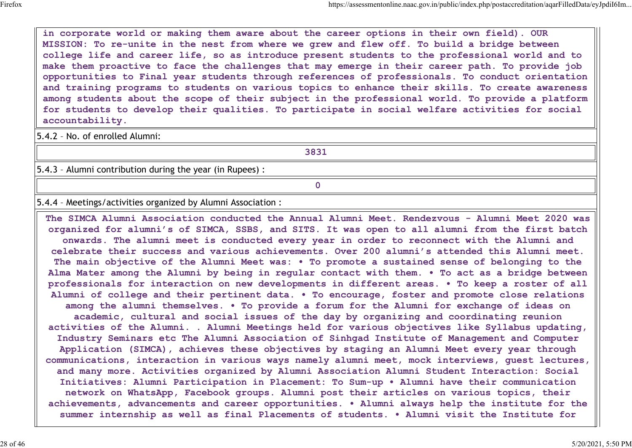**in corporate world or making them aware about the career options in their own field). OUR MISSION: To re-unite in the nest from where we grew and flew off. To build a bridge between college life and career life, so as introduce present students to the professional world and to make them proactive to face the challenges that may emerge in their career path. To provide job opportunities to Final year students through references of professionals. To conduct orientation and training programs to students on various topics to enhance their skills. To create awareness among students about the scope of their subject in the professional world. To provide a platform for students to develop their qualities. To participate in social welfare activities for social accountability.**

5.4.2 – No. of enrolled Alumni:

**3831**

5.4.3 – Alumni contribution during the year (in Rupees) :

**0**

5.4.4 – Meetings/activities organized by Alumni Association :

**The SIMCA Alumni Association conducted the Annual Alumni Meet. Rendezvous - Alumni Meet 2020 was organized for alumni's of SIMCA, SSBS, and SITS. It was open to all alumni from the first batch onwards. The alumni meet is conducted every year in order to reconnect with the Alumni and celebrate their success and various achievements. Over 200 alumni's attended this Alumni meet. The main objective of the Alumni Meet was: • To promote a sustained sense of belonging to the Alma Mater among the Alumni by being in regular contact with them. • To act as a bridge between professionals for interaction on new developments in different areas. • To keep a roster of all Alumni of college and their pertinent data. • To encourage, foster and promote close relations among the alumni themselves. • To provide a forum for the Alumni for exchange of ideas on academic, cultural and social issues of the day by organizing and coordinating reunion activities of the Alumni. . Alumni Meetings held for various objectives like Syllabus updating, Industry Seminars etc The Alumni Association of Sinhgad Institute of Management and Computer Application (SIMCA), achieves these objectives by staging an Alumni Meet every year through communications, interaction in various ways namely alumni meet, mock interviews, guest lectures, and many more. Activities organized by Alumni Association Alumni Student Interaction: Social Initiatives: Alumni Participation in Placement: To Sum-up • Alumni have their communication network on WhatsApp, Facebook groups. Alumni post their articles on various topics, their achievements, advancements and career opportunities. • Alumni always help the institute for the summer internship as well as final Placements of students. • Alumni visit the Institute for**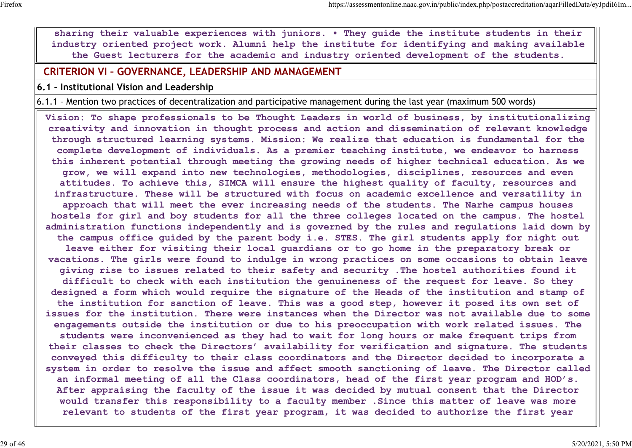**sharing their valuable experiences with juniors. • They guide the institute students in their industry oriented project work. Alumni help the institute for identifying and making available the Guest lecturers for the academic and industry oriented development of the students.**

### **CRITERION VI – GOVERNANCE, LEADERSHIP AND MANAGEMENT**

**6.1 – Institutional Vision and Leadership**

6.1.1 – Mention two practices of decentralization and participative management during the last year (maximum 500 words)

**Vision: To shape professionals to be Thought Leaders in world of business, by institutionalizing creativity and innovation in thought process and action and dissemination of relevant knowledge through structured learning systems. Mission: We realize that education is fundamental for the complete development of individuals. As a premier teaching institute, we endeavor to harness this inherent potential through meeting the growing needs of higher technical education. As we grow, we will expand into new technologies, methodologies, disciplines, resources and even attitudes. To achieve this, SIMCA will ensure the highest quality of faculty, resources and infrastructure. These will be structured with focus on academic excellence and versatility in approach that will meet the ever increasing needs of the students. The Narhe campus houses hostels for girl and boy students for all the three colleges located on the campus. The hostel administration functions independently and is governed by the rules and regulations laid down by the campus office guided by the parent body i.e. STES. The girl students apply for night out leave either for visiting their local guardians or to go home in the preparatory break or vacations. The girls were found to indulge in wrong practices on some occasions to obtain leave giving rise to issues related to their safety and security .The hostel authorities found it difficult to check with each institution the genuineness of the request for leave. So they designed a form which would require the signature of the Heads of the institution and stamp of the institution for sanction of leave. This was a good step, however it posed its own set of issues for the institution. There were instances when the Director was not available due to some engagements outside the institution or due to his preoccupation with work related issues. The students were inconvenienced as they had to wait for long hours or make frequent trips from their classes to check the Directors' availability for verification and signature. The students conveyed this difficulty to their class coordinators and the Director decided to incorporate a system in order to resolve the issue and affect smooth sanctioning of leave. The Director called an informal meeting of all the Class coordinators, head of the first year program and HOD's. After appraising the faculty of the issue it was decided by mutual consent that the Director would transfer this responsibility to a faculty member .Since this matter of leave was more relevant to students of the first year program, it was decided to authorize the first year**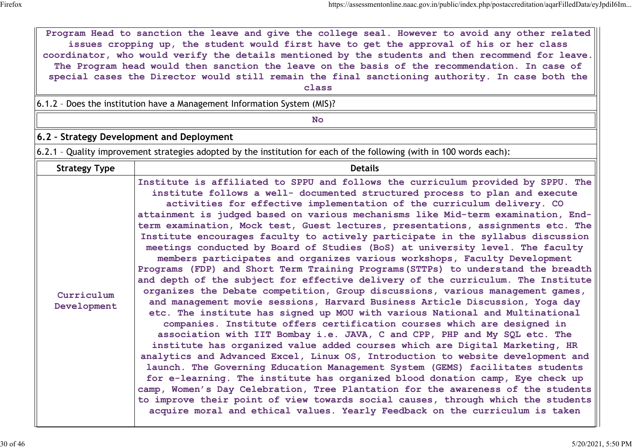|                           | Program Head to sanction the leave and give the college seal. However to avoid any other related<br>issues cropping up, the student would first have to get the approval of his or her class<br>coordinator, who would verify the details mentioned by the students and then recommend for leave.<br>The Program head would then sanction the leave on the basis of the recommendation. In case of<br>special cases the Director would still remain the final sanctioning authority. In case both the<br>class<br>6.1.2 - Does the institution have a Management Information System (MIS)?<br><b>No</b>                                                                                                                                                                                                                                                                                                                                                                                                                                                                                                                                                                                                                                                                                                                                                                                                                                                                                                                                                                                                                                                                                                                                                                                                                                           |  |  |  |  |  |
|---------------------------|---------------------------------------------------------------------------------------------------------------------------------------------------------------------------------------------------------------------------------------------------------------------------------------------------------------------------------------------------------------------------------------------------------------------------------------------------------------------------------------------------------------------------------------------------------------------------------------------------------------------------------------------------------------------------------------------------------------------------------------------------------------------------------------------------------------------------------------------------------------------------------------------------------------------------------------------------------------------------------------------------------------------------------------------------------------------------------------------------------------------------------------------------------------------------------------------------------------------------------------------------------------------------------------------------------------------------------------------------------------------------------------------------------------------------------------------------------------------------------------------------------------------------------------------------------------------------------------------------------------------------------------------------------------------------------------------------------------------------------------------------------------------------------------------------------------------------------------------------|--|--|--|--|--|
|                           | 6.2 - Strategy Development and Deployment                                                                                                                                                                                                                                                                                                                                                                                                                                                                                                                                                                                                                                                                                                                                                                                                                                                                                                                                                                                                                                                                                                                                                                                                                                                                                                                                                                                                                                                                                                                                                                                                                                                                                                                                                                                                         |  |  |  |  |  |
|                           | 6.2.1 - Quality improvement strategies adopted by the institution for each of the following (with in 100 words each):                                                                                                                                                                                                                                                                                                                                                                                                                                                                                                                                                                                                                                                                                                                                                                                                                                                                                                                                                                                                                                                                                                                                                                                                                                                                                                                                                                                                                                                                                                                                                                                                                                                                                                                             |  |  |  |  |  |
| <b>Strategy Type</b>      | <b>Details</b>                                                                                                                                                                                                                                                                                                                                                                                                                                                                                                                                                                                                                                                                                                                                                                                                                                                                                                                                                                                                                                                                                                                                                                                                                                                                                                                                                                                                                                                                                                                                                                                                                                                                                                                                                                                                                                    |  |  |  |  |  |
| Curriculum<br>Development | Institute is affiliated to SPPU and follows the curriculum provided by SPPU. The<br>institute follows a well- documented structured process to plan and execute<br>activities for effective implementation of the curriculum delivery. CO<br>attainment is judged based on various mechanisms like Mid-term examination, End-<br>term examination, Mock test, Guest lectures, presentations, assignments etc. The<br>Institute encourages faculty to actively participate in the syllabus discussion<br>meetings conducted by Board of Studies (BoS) at university level. The faculty<br>members participates and organizes various workshops, Faculty Development<br>Programs (FDP) and Short Term Training Programs (STTPs) to understand the breadth<br>and depth of the subject for effective delivery of the curriculum. The Institute<br>organizes the Debate competition, Group discussions, various management games,<br>and management movie sessions, Harvard Business Article Discussion, Yoga day<br>etc. The institute has signed up MOU with various National and Multinational<br>companies. Institute offers certification courses which are designed in<br>association with IIT Bombay i.e. JAVA, C and CPP, PHP and My SQL etc. The<br>institute has organized value added courses which are Digital Marketing, HR<br>analytics and Advanced Excel, Linux OS, Introduction to website development and<br>launch. The Governing Education Management System (GEMS) facilitates students<br>for e-learning. The institute has organized blood donation camp, Eye check up<br>camp, Women's Day Celebration, Tree Plantation for the awareness of the students<br>to improve their point of view towards social causes, through which the students<br>acquire moral and ethical values. Yearly Feedback on the curriculum is taken |  |  |  |  |  |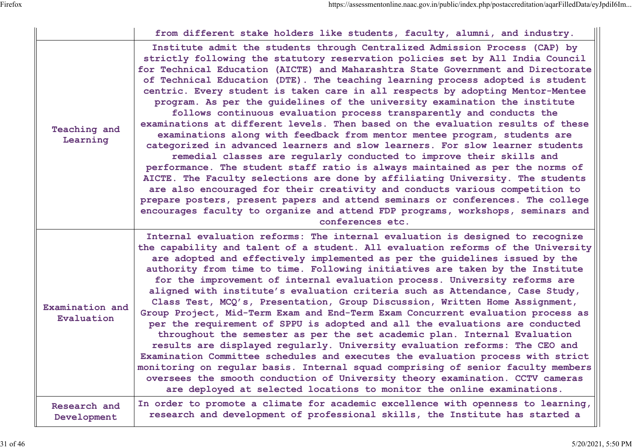|                                 | from different stake holders like students, faculty, alumni, and industry.                                                                                                                                                                                                                                                                                                                                                                                                                                                                                                                                                                                                                                                                                                                                                                                                                                                                                                                                                                                                                                                                                                                                                                                                                                                                        |
|---------------------------------|---------------------------------------------------------------------------------------------------------------------------------------------------------------------------------------------------------------------------------------------------------------------------------------------------------------------------------------------------------------------------------------------------------------------------------------------------------------------------------------------------------------------------------------------------------------------------------------------------------------------------------------------------------------------------------------------------------------------------------------------------------------------------------------------------------------------------------------------------------------------------------------------------------------------------------------------------------------------------------------------------------------------------------------------------------------------------------------------------------------------------------------------------------------------------------------------------------------------------------------------------------------------------------------------------------------------------------------------------|
| <b>Teaching and</b><br>Learning | Institute admit the students through Centralized Admission Process (CAP) by<br>strictly following the statutory reservation policies set by All India Council<br>for Technical Education (AICTE) and Maharashtra State Government and Directorate<br>of Technical Education (DTE). The teaching learning process adopted is student<br>centric. Every student is taken care in all respects by adopting Mentor-Mentee<br>program. As per the guidelines of the university examination the institute<br>follows continuous evaluation process transparently and conducts the<br>examinations at different levels. Then based on the evaluation results of these<br>examinations along with feedback from mentor mentee program, students are<br>categorized in advanced learners and slow learners. For slow learner students<br>remedial classes are regularly conducted to improve their skills and<br>performance. The student staff ratio is always maintained as per the norms of<br>AICTE. The Faculty selections are done by affiliating University. The students<br>are also encouraged for their creativity and conducts various competition to<br>prepare posters, present papers and attend seminars or conferences. The college<br>encourages faculty to organize and attend FDP programs, workshops, seminars and<br>conferences etc. |
| Examination and<br>Evaluation   | Internal evaluation reforms: The internal evaluation is designed to recognize<br>the capability and talent of a student. All evaluation reforms of the University<br>are adopted and effectively implemented as per the guidelines issued by the<br>authority from time to time. Following initiatives are taken by the Institute<br>for the improvement of internal evaluation process. University reforms are<br>aligned with institute's evaluation criteria such as Attendance, Case Study,<br>Class Test, MCQ's, Presentation, Group Discussion, Written Home Assignment,<br>Group Project, Mid-Term Exam and End-Term Exam Concurrent evaluation process as<br>per the requirement of SPPU is adopted and all the evaluations are conducted<br>throughout the semester as per the set academic plan. Internal Evaluation<br>results are displayed reqularly. University evaluation reforms: The CEO and<br>Examination Committee schedules and executes the evaluation process with strict<br>monitoring on regular basis. Internal squad comprising of senior faculty members<br>oversees the smooth conduction of University theory examination. CCTV cameras<br>are deployed at selected locations to monitor the online examinations.                                                                                                   |
| Research and<br>Development     | In order to promote a climate for academic excellence with openness to learning,<br>research and development of professional skills, the Institute has started a                                                                                                                                                                                                                                                                                                                                                                                                                                                                                                                                                                                                                                                                                                                                                                                                                                                                                                                                                                                                                                                                                                                                                                                  |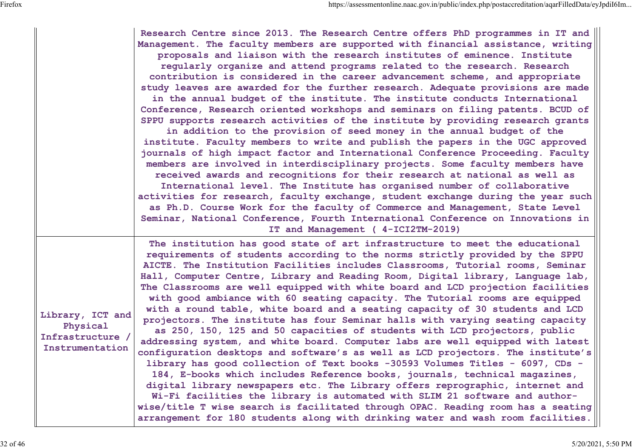|                                                                     | Research Centre since 2013. The Research Centre offers PhD programmes in IT and<br>Management. The faculty members are supported with financial assistance, writing<br>proposals and liaison with the research institutes of eminence. Institute<br>reqularly organize and attend programs related to the research. Research<br>contribution is considered in the career advancement scheme, and appropriate<br>study leaves are awarded for the further research. Adequate provisions are made<br>in the annual budget of the institute. The institute conducts International<br>Conference, Research oriented workshops and seminars on filing patents. BCUD of<br>SPPU supports research activities of the institute by providing research grants<br>in addition to the provision of seed money in the annual budget of the<br>institute. Faculty members to write and publish the papers in the UGC approved<br>journals of high impact factor and International Conference Proceeding. Faculty<br>members are involved in interdisciplinary projects. Some faculty members have<br>received awards and recognitions for their research at national as well as<br>International level. The Institute has organised number of collaborative<br>activities for research, faculty exchange, student exchange during the year such<br>as Ph.D. Course Work for the faculty of Commerce and Management, State Level<br>Seminar, National Conference, Fourth International Conference on Innovations in<br>IT and Management (4-ICI2TM-2019) |
|---------------------------------------------------------------------|--------------------------------------------------------------------------------------------------------------------------------------------------------------------------------------------------------------------------------------------------------------------------------------------------------------------------------------------------------------------------------------------------------------------------------------------------------------------------------------------------------------------------------------------------------------------------------------------------------------------------------------------------------------------------------------------------------------------------------------------------------------------------------------------------------------------------------------------------------------------------------------------------------------------------------------------------------------------------------------------------------------------------------------------------------------------------------------------------------------------------------------------------------------------------------------------------------------------------------------------------------------------------------------------------------------------------------------------------------------------------------------------------------------------------------------------------------------------------------------------------------------------------------------------|
| Library, ICT and<br>Physical<br>Infrastructure /<br>Instrumentation | The institution has good state of art infrastructure to meet the educational<br>requirements of students according to the norms strictly provided by the SPPU<br>AICTE. The Institution Facilities includes Classrooms, Tutorial rooms, Seminar<br>Hall, Computer Centre, Library and Reading Room, Digital library, Language lab,<br>The Classrooms are well equipped with white board and LCD projection facilities<br>with good ambiance with 60 seating capacity. The Tutorial rooms are equipped<br>with a round table, white board and a seating capacity of 30 students and LCD<br>projectors. The institute has four Seminar halls with varying seating capacity<br>as 250, 150, 125 and 50 capacities of students with LCD projectors, public<br>addressing system, and white board. Computer labs are well equipped with latest<br>configuration desktops and software's as well as LCD projectors. The institute's<br>library has good collection of Text books -30593 Volumes Titles - 6097, CDs -<br>184, E-books which includes Reference books, journals, technical magazines,<br>digital library newspapers etc. The Library offers reprographic, internet and<br>Wi-Fi facilities the library is automated with SLIM 21 software and author-<br>wise/title T wise search is facilitated through OPAC. Reading room has a seating<br>arrangement for 180 students along with drinking water and wash room facilities.                                                                                                      |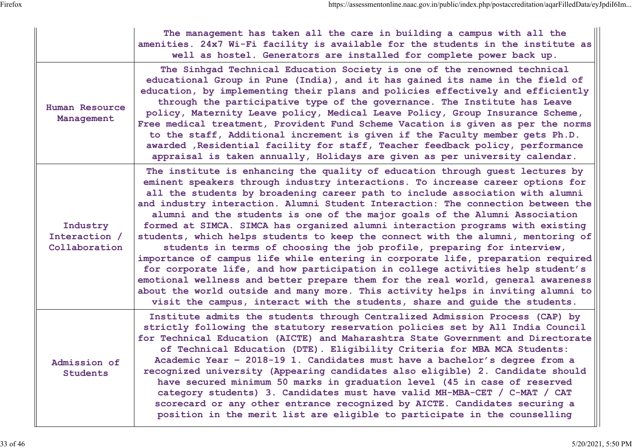|                                            | The management has taken all the care in building a campus with all the<br>amenities. 24x7 Wi-Fi facility is available for the students in the institute as<br>well as hostel. Generators are installed for complete power back up.                                                                                                                                                                                                                                                                                                                                                                                                                                                                                                                                                                                                                                                                                                                                                                                                                                                               |
|--------------------------------------------|---------------------------------------------------------------------------------------------------------------------------------------------------------------------------------------------------------------------------------------------------------------------------------------------------------------------------------------------------------------------------------------------------------------------------------------------------------------------------------------------------------------------------------------------------------------------------------------------------------------------------------------------------------------------------------------------------------------------------------------------------------------------------------------------------------------------------------------------------------------------------------------------------------------------------------------------------------------------------------------------------------------------------------------------------------------------------------------------------|
| Human Resource<br>Management               | The Sinhgad Technical Education Society is one of the renowned technical<br>educational Group in Pune (India), and it has gained its name in the field of<br>education, by implementing their plans and policies effectively and efficiently<br>through the participative type of the governance. The Institute has Leave<br>policy, Maternity Leave policy, Medical Leave Policy, Group Insurance Scheme,<br>Free medical treatment, Provident Fund Scheme Vacation is given as per the norms<br>to the staff, Additional increment is given if the Faculty member gets Ph.D.<br>awarded , Residential facility for staff, Teacher feedback policy, performance<br>appraisal is taken annually, Holidays are given as per university calendar.                                                                                                                                                                                                                                                                                                                                                   |
| Industry<br>Interaction /<br>Collaboration | The institute is enhancing the quality of education through guest lectures by<br>eminent speakers through industry interactions. To increase career options for<br>all the students by broadening career path to include association with alumni<br>and industry interaction. Alumni Student Interaction: The connection between the<br>alumni and the students is one of the major goals of the Alumni Association<br>formed at SIMCA. SIMCA has organized alumni interaction programs with existing<br>students, which helps students to keep the connect with the alumni, mentoring of<br>students in terms of choosing the job profile, preparing for interview,<br>importance of campus life while entering in corporate life, preparation required<br>for corporate life, and how participation in college activities help student's<br>emotional wellness and better prepare them for the real world, general awareness<br>about the world outside and many more. This activity helps in inviting alumni to<br>visit the campus, interact with the students, share and guide the students. |
| Admıssıon of<br><b>Students</b>            | Institute admits the students through Centralized Admission Process (CAP) by<br>strictly following the statutory reservation policies set by All India Council<br>for Technical Education (AICTE) and Maharashtra State Government and Directorate<br>of Technical Education (DTE). Eligibility Criteria for MBA MCA Students:<br>Academic Year - 2018-19 1. Candidates must have a bachelor's degree from a<br>recognized university (Appearing candidates also eligible) 2. Candidate should<br>have secured minimum 50 marks in graduation level (45 in case of reserved<br>category students) 3. Candidates must have valid MH-MBA-CET / C-MAT / CAT<br>scorecard or any other entrance recognized by AICTE. Candidates securing a<br>position in the merit list are eligible to participate in the counselling                                                                                                                                                                                                                                                                               |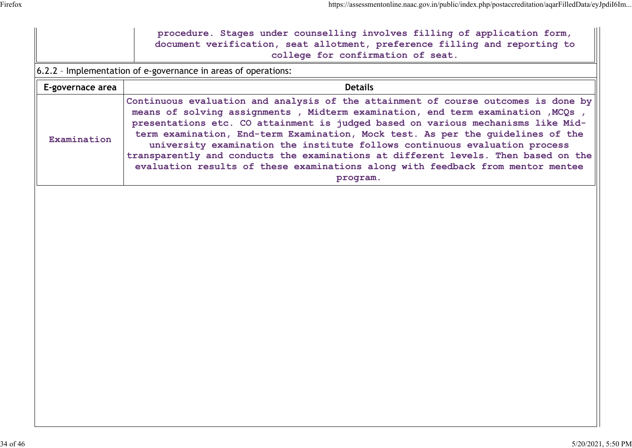|                  | procedure. Stages under counselling involves filling of application form,<br>document verification, seat allotment, preference filling and reporting to<br>college for confirmation of seat.                                                                                                                                                                                                                                                                                                                                                                                                                   |  |  |  |  |  |
|------------------|----------------------------------------------------------------------------------------------------------------------------------------------------------------------------------------------------------------------------------------------------------------------------------------------------------------------------------------------------------------------------------------------------------------------------------------------------------------------------------------------------------------------------------------------------------------------------------------------------------------|--|--|--|--|--|
|                  | 6.2.2 - Implementation of e-governance in areas of operations:                                                                                                                                                                                                                                                                                                                                                                                                                                                                                                                                                 |  |  |  |  |  |
| E-governace area | <b>Details</b>                                                                                                                                                                                                                                                                                                                                                                                                                                                                                                                                                                                                 |  |  |  |  |  |
| Examination      | Continuous evaluation and analysis of the attainment of course outcomes is done by<br>means of solving assignments, Midterm examination, end term examination, MCQs,<br>presentations etc. CO attainment is judged based on various mechanisms like Mid-<br>term examination, End-term Examination, Mock test. As per the quidelines of the<br>university examination the institute follows continuous evaluation process<br>transparently and conducts the examinations at different levels. Then based on the<br>evaluation results of these examinations along with feedback from mentor mentee<br>program. |  |  |  |  |  |
|                  |                                                                                                                                                                                                                                                                                                                                                                                                                                                                                                                                                                                                                |  |  |  |  |  |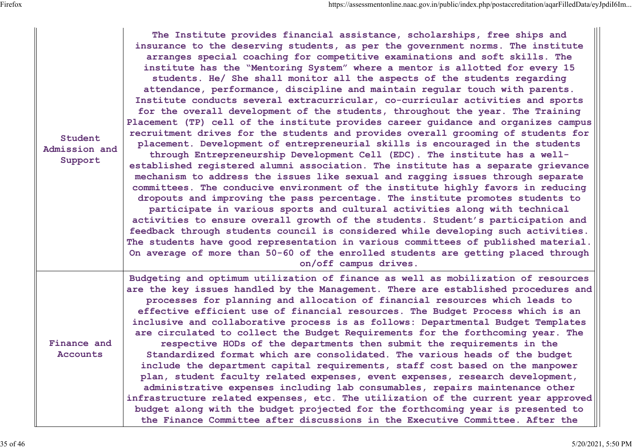| Student<br>Admission and<br>Support | The Institute provides financial assistance, scholarships, free ships and<br>insurance to the deserving students, as per the government norms. The institute<br>arranges special coaching for competitive examinations and soft skills. The<br>institute has the "Mentoring System" where a mentor is allotted for every 15<br>students. He/ She shall monitor all the aspects of the students regarding<br>attendance, performance, discipline and maintain regular touch with parents.<br>Institute conducts several extracurricular, co-curricular activities and sports<br>for the overall development of the students, throughout the year. The Training<br>Placement (TP) cell of the institute provides career guidance and organizes campus<br>recruitment drives for the students and provides overall grooming of students for<br>placement. Development of entrepreneurial skills is encouraged in the students<br>through Entrepreneurship Development Cell (EDC). The institute has a well-<br>established registered alumni association. The institute has a separate grievance<br>mechanism to address the issues like sexual and ragging issues through separate<br>committees. The conducive environment of the institute highly favors in reducing<br>dropouts and improving the pass percentage. The institute promotes students to<br>participate in various sports and cultural activities along with technical<br>activities to ensure overall growth of the students. Student's participation and<br>feedback through students council is considered while developing such activities.<br>The students have good representation in various committees of published material.<br>On average of more than 50-60 of the enrolled students are getting placed through<br>on/off campus drives. |
|-------------------------------------|-------------------------------------------------------------------------------------------------------------------------------------------------------------------------------------------------------------------------------------------------------------------------------------------------------------------------------------------------------------------------------------------------------------------------------------------------------------------------------------------------------------------------------------------------------------------------------------------------------------------------------------------------------------------------------------------------------------------------------------------------------------------------------------------------------------------------------------------------------------------------------------------------------------------------------------------------------------------------------------------------------------------------------------------------------------------------------------------------------------------------------------------------------------------------------------------------------------------------------------------------------------------------------------------------------------------------------------------------------------------------------------------------------------------------------------------------------------------------------------------------------------------------------------------------------------------------------------------------------------------------------------------------------------------------------------------------------------------------------------------------------------------------------------------------------------------|
| Finance and<br>Accounts             | Budgeting and optimum utilization of finance as well as mobilization of resources<br>are the key issues handled by the Management. There are established procedures and<br>processes for planning and allocation of financial resources which leads to<br>effective efficient use of financial resources. The Budget Process which is an<br>inclusive and collaborative process is as follows: Departmental Budget Templates<br>are circulated to collect the Budget Requirements for the forthcoming year. The<br>respective HODs of the departments then submit the requirements in the<br>Standardized format which are consolidated. The various heads of the budget<br>include the department capital requirements, staff cost based on the manpower<br>plan, student faculty related expenses, event expenses, research development,<br>administrative expenses including lab consumables, repairs maintenance other<br>infrastructure related expenses, etc. The utilization of the current year approved<br>budget along with the budget projected for the forthcoming year is presented to<br>the Finance Committee after discussions in the Executive Committee. After the                                                                                                                                                                                                                                                                                                                                                                                                                                                                                                                                                                                                                              |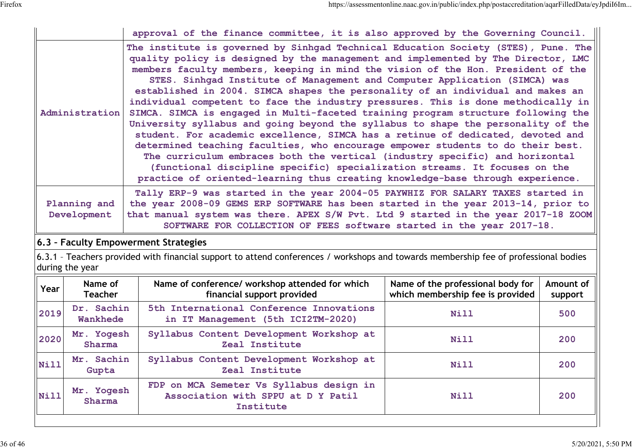|                       | approval of the finance committee, it is also approved by the Governing Council.                                                                                                                                                                                                                                                                                                                                                                                                                                                                                                                                                                                                                                                                                                                                                                                                                                                                                                                                                                                                                                  |
|-----------------------|-------------------------------------------------------------------------------------------------------------------------------------------------------------------------------------------------------------------------------------------------------------------------------------------------------------------------------------------------------------------------------------------------------------------------------------------------------------------------------------------------------------------------------------------------------------------------------------------------------------------------------------------------------------------------------------------------------------------------------------------------------------------------------------------------------------------------------------------------------------------------------------------------------------------------------------------------------------------------------------------------------------------------------------------------------------------------------------------------------------------|
| <b>Administration</b> | The institute is governed by Sinhgad Technical Education Society (STES), Pune. The<br>quality policy is designed by the management and implemented by The Director, LMC<br>members faculty members, keeping in mind the vision of the Hon. President of the<br>STES. Sinhgad Institute of Management and Computer Application (SIMCA) was<br>established in 2004. SIMCA shapes the personality of an individual and makes an<br>individual competent to face the industry pressures. This is done methodically in<br>SIMCA. SIMCA is engaged in Multi-faceted training program structure following the<br>University syllabus and going beyond the syllabus to shape the personality of the<br>student. For academic excellence, SIMCA has a retinue of dedicated, devoted and<br>determined teaching faculties, who encourage empower students to do their best.<br>The curriculum embraces both the vertical (industry specific) and horizontal<br>(functional discipline specific) specialization streams. It focuses on the<br>practice of oriented-learning thus creating knowledge-base through experience. |
|                       | Tally ERP-9 was started in the year 2004-05 PAYWHIZ FOR SALARY TAXES started in                                                                                                                                                                                                                                                                                                                                                                                                                                                                                                                                                                                                                                                                                                                                                                                                                                                                                                                                                                                                                                   |
| Planning and          | the year 2008-09 GEMS ERP SOFTWARE has been started in the year 2013-14, prior to                                                                                                                                                                                                                                                                                                                                                                                                                                                                                                                                                                                                                                                                                                                                                                                                                                                                                                                                                                                                                                 |
| Development           | that manual system was there. APEX S/W Pvt. Ltd 9 started in the year 2017-18 ZOOM                                                                                                                                                                                                                                                                                                                                                                                                                                                                                                                                                                                                                                                                                                                                                                                                                                                                                                                                                                                                                                |
|                       | SOFTWARE FOR COLLECTION OF FEES software started in the year 2017-18.                                                                                                                                                                                                                                                                                                                                                                                                                                                                                                                                                                                                                                                                                                                                                                                                                                                                                                                                                                                                                                             |

#### **6.3 – Faculty Empowerment Strategies**

6.3.1 – Teachers provided with financial support to attend conferences / workshops and towards membership fee of professional bodies during the year

| Year        | Name of<br>Teacher     | Name of conference/ workshop attended for which<br>financial support provided               | Name of the professional body for<br>which membership fee is provided | Amount of<br>support |
|-------------|------------------------|---------------------------------------------------------------------------------------------|-----------------------------------------------------------------------|----------------------|
| 2019        | Dr. Sachin<br>Wankhede | 5th International Conference Innovations<br>in IT Management (5th ICI2TM-2020)              | <b>Nill</b>                                                           | 500                  |
| 2020        | Mr. Yogesh<br>Sharma   | Syllabus Content Development Workshop at<br>Zeal Institute                                  | <b>Nill</b>                                                           | 200                  |
| <b>Nill</b> | Mr. Sachin<br>Gupta    | Syllabus Content Development Workshop at<br>Zeal Institute                                  | <b>Nill</b>                                                           | 200                  |
| Nill        | Mr. Yogesh<br>Sharma   | FDP on MCA Semeter Vs Syllabus design in<br>Association with SPPU at D Y Patil<br>Institute | <b>Nill</b>                                                           | 200                  |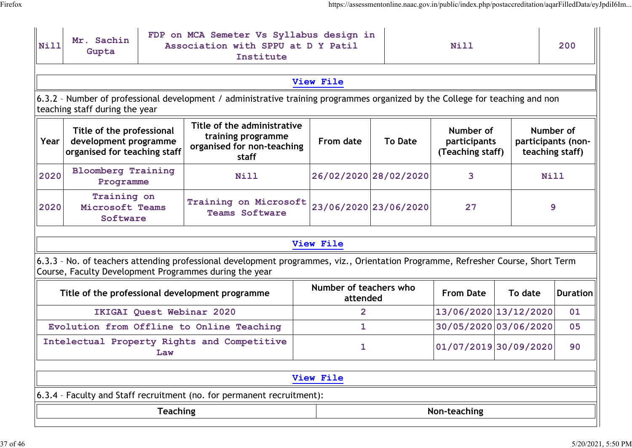| <b>Nill</b> | Mr. Sachin<br>Gupta                                                                                                                                                                                                  |     | FDP on MCA Semeter Vs Syllabus design in<br>Association with SPPU at D Y Patil<br>Institute                                                                                                | Nill           |                       | 200                                           |             |                                                    |  |  |  |
|-------------|----------------------------------------------------------------------------------------------------------------------------------------------------------------------------------------------------------------------|-----|--------------------------------------------------------------------------------------------------------------------------------------------------------------------------------------------|----------------|-----------------------|-----------------------------------------------|-------------|----------------------------------------------------|--|--|--|
| View File   |                                                                                                                                                                                                                      |     |                                                                                                                                                                                            |                |                       |                                               |             |                                                    |  |  |  |
|             | 6.3.2 - Number of professional development / administrative training programmes organized by the College for teaching and non<br>teaching staff during the year                                                      |     |                                                                                                                                                                                            |                |                       |                                               |             |                                                    |  |  |  |
| Year        | Title of the administrative<br>Title of the professional<br>training programme<br><b>From date</b><br><b>To Date</b><br>development programme<br>organised for non-teaching<br>organised for teaching staff<br>staff |     |                                                                                                                                                                                            |                |                       | Number of<br>participants<br>(Teaching staff) |             | Number of<br>participants (non-<br>teaching staff) |  |  |  |
| 2020        | <b>Bloomberg Training</b><br>Programme                                                                                                                                                                               |     | Nill                                                                                                                                                                                       |                | 26/02/2020 28/02/2020 | 3                                             | <b>Nill</b> |                                                    |  |  |  |
| 2020        | Training on<br>Microsoft Teams<br>Software                                                                                                                                                                           |     | Training on Microsoft<br><b>Teams Software</b>                                                                                                                                             |                | 23/06/2020 23/06/2020 | 27                                            |             | 9                                                  |  |  |  |
|             |                                                                                                                                                                                                                      |     |                                                                                                                                                                                            | View File      |                       |                                               |             |                                                    |  |  |  |
|             |                                                                                                                                                                                                                      |     | 6.3.3 - No. of teachers attending professional development programmes, viz., Orientation Programme, Refresher Course, Short Term<br>Course, Faculty Development Programmes during the year |                |                       |                                               |             |                                                    |  |  |  |
|             | Number of teachers who<br><b>From Date</b><br>Title of the professional development programme<br>To date<br><b>Duration</b><br>attended                                                                              |     |                                                                                                                                                                                            |                |                       |                                               |             |                                                    |  |  |  |
|             |                                                                                                                                                                                                                      |     | IKIGAI Quest Webinar 2020                                                                                                                                                                  | $\overline{2}$ |                       | 13/06/2020 13/12/2020                         |             | 01                                                 |  |  |  |
|             |                                                                                                                                                                                                                      |     | Evolution from Offline to Online Teaching                                                                                                                                                  | 1              |                       | 30/05/2020 03/06/2020                         |             | 05                                                 |  |  |  |
|             |                                                                                                                                                                                                                      | Law | Intelectual Property Rights and Competitive                                                                                                                                                | 1              |                       | 01/07/2019 30/09/2020                         |             | 90                                                 |  |  |  |
| View File   |                                                                                                                                                                                                                      |     |                                                                                                                                                                                            |                |                       |                                               |             |                                                    |  |  |  |
|             |                                                                                                                                                                                                                      |     | 6.3.4 - Faculty and Staff recruitment (no. for permanent recruitment):                                                                                                                     |                |                       |                                               |             |                                                    |  |  |  |
|             | <b>Teaching</b><br>Non-teaching                                                                                                                                                                                      |     |                                                                                                                                                                                            |                |                       |                                               |             |                                                    |  |  |  |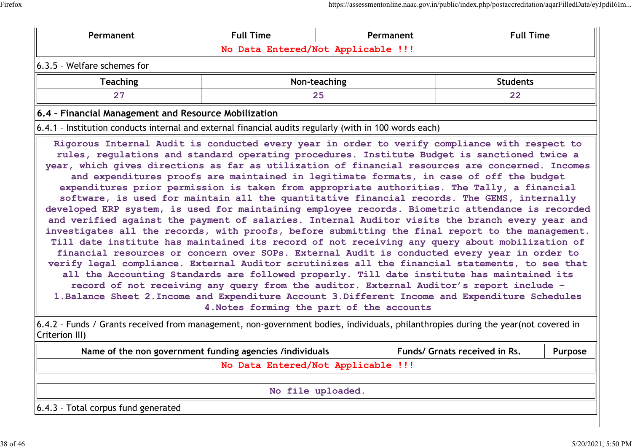| Permanent                                                                                              | <b>Full Time</b>                | Permanent                                 | <b>Full Time</b>                                                                                                                                                                                                                                                                                                                                                                                                                                                                                                                                                                                                                                                                                                                                                                                                                                                                                                                                                                                                                                                                                                                                                                                                                                                                                                                                                                                                                                                                                        |  |  |  |  |  |  |  |
|--------------------------------------------------------------------------------------------------------|---------------------------------|-------------------------------------------|---------------------------------------------------------------------------------------------------------------------------------------------------------------------------------------------------------------------------------------------------------------------------------------------------------------------------------------------------------------------------------------------------------------------------------------------------------------------------------------------------------------------------------------------------------------------------------------------------------------------------------------------------------------------------------------------------------------------------------------------------------------------------------------------------------------------------------------------------------------------------------------------------------------------------------------------------------------------------------------------------------------------------------------------------------------------------------------------------------------------------------------------------------------------------------------------------------------------------------------------------------------------------------------------------------------------------------------------------------------------------------------------------------------------------------------------------------------------------------------------------------|--|--|--|--|--|--|--|
| No Data Entered/Not Applicable !!!                                                                     |                                 |                                           |                                                                                                                                                                                                                                                                                                                                                                                                                                                                                                                                                                                                                                                                                                                                                                                                                                                                                                                                                                                                                                                                                                                                                                                                                                                                                                                                                                                                                                                                                                         |  |  |  |  |  |  |  |
| 6.3.5 - Welfare schemes for                                                                            |                                 |                                           |                                                                                                                                                                                                                                                                                                                                                                                                                                                                                                                                                                                                                                                                                                                                                                                                                                                                                                                                                                                                                                                                                                                                                                                                                                                                                                                                                                                                                                                                                                         |  |  |  |  |  |  |  |
| <b>Teaching</b>                                                                                        | Non-teaching<br><b>Students</b> |                                           |                                                                                                                                                                                                                                                                                                                                                                                                                                                                                                                                                                                                                                                                                                                                                                                                                                                                                                                                                                                                                                                                                                                                                                                                                                                                                                                                                                                                                                                                                                         |  |  |  |  |  |  |  |
| 27                                                                                                     |                                 | 25                                        | 22                                                                                                                                                                                                                                                                                                                                                                                                                                                                                                                                                                                                                                                                                                                                                                                                                                                                                                                                                                                                                                                                                                                                                                                                                                                                                                                                                                                                                                                                                                      |  |  |  |  |  |  |  |
| 6.4 - Financial Management and Resource Mobilization                                                   |                                 |                                           |                                                                                                                                                                                                                                                                                                                                                                                                                                                                                                                                                                                                                                                                                                                                                                                                                                                                                                                                                                                                                                                                                                                                                                                                                                                                                                                                                                                                                                                                                                         |  |  |  |  |  |  |  |
| 6.4.1 - Institution conducts internal and external financial audits regularly (with in 100 words each) |                                 |                                           |                                                                                                                                                                                                                                                                                                                                                                                                                                                                                                                                                                                                                                                                                                                                                                                                                                                                                                                                                                                                                                                                                                                                                                                                                                                                                                                                                                                                                                                                                                         |  |  |  |  |  |  |  |
|                                                                                                        |                                 | 4. Notes forming the part of the accounts | Rigorous Internal Audit is conducted every year in order to verify compliance with respect to<br>rules, regulations and standard operating procedures. Institute Budget is sanctioned twice a<br>year, which gives directions as far as utilization of financial resources are concerned. Incomes<br>and expenditures proofs are maintained in legitimate formats, in case of off the budget<br>expenditures prior permission is taken from appropriate authorities. The Tally, a financial<br>software, is used for maintain all the quantitative financial records. The GEMS, internally<br>developed ERP system, is used for maintaining employee records. Biometric attendance is recorded<br>and verified against the payment of salaries. Internal Auditor visits the branch every year and<br>investigates all the records, with proofs, before submitting the final report to the management.<br>Till date institute has maintained its record of not receiving any query about mobilization of<br>financial resources or concern over SOPs. External Audit is conducted every year in order to<br>verify legal compliance. External Auditor scrutinizes all the financial statements, to see that<br>all the Accounting Standards are followed properly. Till date institute has maintained its<br>record of not receiving any query from the auditor. External Auditor's report include -<br>1. Balance Sheet 2. Income and Expenditure Account 3. Different Income and Expenditure Schedules |  |  |  |  |  |  |  |

 $\big|$ 6.4.2 - Funds / Grants received from management, non-government bodies, individuals, philanthropies during the year(not covered in Criterion III)

| Name of the non government funding agencies /individuals | Funds/ Grnats received in Rs. | <b>Purpose</b> |  |  |  |  |  |
|----------------------------------------------------------|-------------------------------|----------------|--|--|--|--|--|
| No Data Entered/Not Applicable !!!                       |                               |                |  |  |  |  |  |
|                                                          |                               |                |  |  |  |  |  |
| No file uploaded.                                        |                               |                |  |  |  |  |  |
| $\vert$ 6.4.3 - Total corpus fund generated              |                               |                |  |  |  |  |  |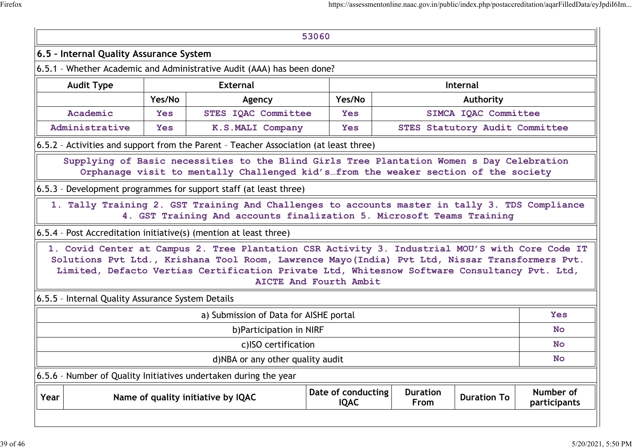| 53060                                            |                                                                                                                |                                                                                |                                                                                                                                                                                                                                                                                                   |                                   |  |                                |                    |                           |  |  |
|--------------------------------------------------|----------------------------------------------------------------------------------------------------------------|--------------------------------------------------------------------------------|---------------------------------------------------------------------------------------------------------------------------------------------------------------------------------------------------------------------------------------------------------------------------------------------------|-----------------------------------|--|--------------------------------|--------------------|---------------------------|--|--|
| 6.5 - Internal Quality Assurance System          |                                                                                                                |                                                                                |                                                                                                                                                                                                                                                                                                   |                                   |  |                                |                    |                           |  |  |
|                                                  |                                                                                                                |                                                                                | 6.5.1 - Whether Academic and Administrative Audit (AAA) has been done?                                                                                                                                                                                                                            |                                   |  |                                |                    |                           |  |  |
| <b>External</b><br><b>Audit Type</b><br>Internal |                                                                                                                |                                                                                |                                                                                                                                                                                                                                                                                                   |                                   |  |                                |                    |                           |  |  |
|                                                  | Yes/No<br>Yes/No<br>Authority<br>Agency                                                                        |                                                                                |                                                                                                                                                                                                                                                                                                   |                                   |  |                                |                    |                           |  |  |
|                                                  | Academic                                                                                                       | <b>STES IQAC Committee</b><br>SIMCA IQAC Committee<br><b>Yes</b><br><b>Yes</b> |                                                                                                                                                                                                                                                                                                   |                                   |  |                                |                    |                           |  |  |
|                                                  | Administrative<br><b>STES Statutory Audit Committee</b><br><b>K.S.MALI Company</b><br><b>Yes</b><br><b>Yes</b> |                                                                                |                                                                                                                                                                                                                                                                                                   |                                   |  |                                |                    |                           |  |  |
|                                                  |                                                                                                                |                                                                                | 6.5.2 - Activities and support from the Parent - Teacher Association (at least three)                                                                                                                                                                                                             |                                   |  |                                |                    |                           |  |  |
|                                                  |                                                                                                                |                                                                                | Supplying of Basic necessities to the Blind Girls Tree Plantation Women s Day Celebration<br>Orphanage visit to mentally Challenged kid's from the weaker section of the society                                                                                                                  |                                   |  |                                |                    |                           |  |  |
|                                                  |                                                                                                                |                                                                                | 6.5.3 - Development programmes for support staff (at least three)                                                                                                                                                                                                                                 |                                   |  |                                |                    |                           |  |  |
|                                                  |                                                                                                                |                                                                                | 1. Tally Training 2. GST Training And Challenges to accounts master in tally 3. TDS Compliance<br>4. GST Training And accounts finalization 5. Microsoft Teams Training                                                                                                                           |                                   |  |                                |                    |                           |  |  |
|                                                  |                                                                                                                |                                                                                | 6.5.4 - Post Accreditation initiative(s) (mention at least three)                                                                                                                                                                                                                                 |                                   |  |                                |                    |                           |  |  |
|                                                  |                                                                                                                |                                                                                | 1. Covid Center at Campus 2. Tree Plantation CSR Activity 3. Industrial MOU'S with Core Code IT<br>Solutions Pvt Ltd., Krishana Tool Room, Lawrence Mayo(India) Pvt Ltd, Nissar Transformers Pvt.<br>Limited, Defacto Vertias Certification Private Ltd, Whitesnow Software Consultancy Pvt. Ltd, | AICTE And Fourth Ambit            |  |                                |                    |                           |  |  |
|                                                  | 6.5.5 - Internal Quality Assurance System Details                                                              |                                                                                |                                                                                                                                                                                                                                                                                                   |                                   |  |                                |                    |                           |  |  |
|                                                  |                                                                                                                |                                                                                | a) Submission of Data for AISHE portal                                                                                                                                                                                                                                                            |                                   |  |                                |                    | <b>Yes</b>                |  |  |
|                                                  |                                                                                                                |                                                                                | b) Participation in NIRF                                                                                                                                                                                                                                                                          |                                   |  |                                |                    | <b>No</b>                 |  |  |
|                                                  |                                                                                                                |                                                                                | c)ISO certification                                                                                                                                                                                                                                                                               |                                   |  |                                |                    | <b>No</b>                 |  |  |
|                                                  |                                                                                                                |                                                                                | d)NBA or any other quality audit                                                                                                                                                                                                                                                                  |                                   |  |                                |                    | <b>No</b>                 |  |  |
|                                                  |                                                                                                                |                                                                                | 6.5.6 - Number of Quality Initiatives undertaken during the year                                                                                                                                                                                                                                  |                                   |  |                                |                    |                           |  |  |
| Year                                             |                                                                                                                |                                                                                | Name of quality initiative by IQAC                                                                                                                                                                                                                                                                | Date of conducting<br><b>IQAC</b> |  | <b>Duration</b><br><b>From</b> | <b>Duration To</b> | Number of<br>participants |  |  |
|                                                  |                                                                                                                |                                                                                |                                                                                                                                                                                                                                                                                                   |                                   |  |                                |                    |                           |  |  |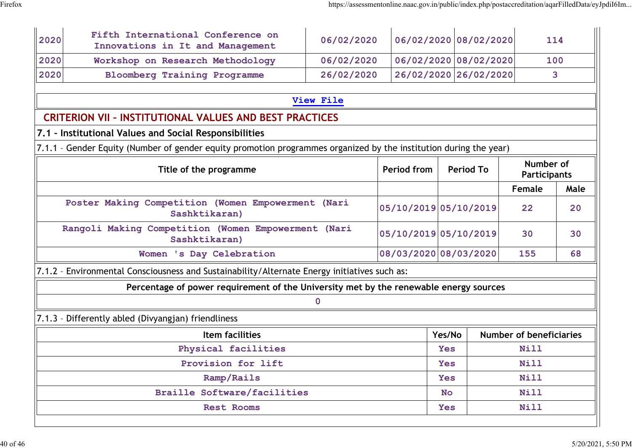| 2020                                                                          | Fifth International Conference on<br>06/02/2020<br>Innovations in It and Management                               |                       |                       |                                                                                                                                  | 06/02/2020 08/02/2020 |        | 114  |  |  |  |  |  |
|-------------------------------------------------------------------------------|-------------------------------------------------------------------------------------------------------------------|-----------------------|-----------------------|----------------------------------------------------------------------------------------------------------------------------------|-----------------------|--------|------|--|--|--|--|--|
| 2020                                                                          | Workshop on Research Methodology                                                                                  | 06/02/2020            |                       |                                                                                                                                  | 06/02/2020 08/02/2020 |        | 100  |  |  |  |  |  |
| 2020                                                                          | <b>Bloomberg Training Programme</b>                                                                               | 26/02/2020            |                       | 26/02/2020 26/02/2020                                                                                                            |                       | 3      |      |  |  |  |  |  |
|                                                                               |                                                                                                                   |                       |                       |                                                                                                                                  |                       |        |      |  |  |  |  |  |
| View File                                                                     |                                                                                                                   |                       |                       |                                                                                                                                  |                       |        |      |  |  |  |  |  |
|                                                                               | <b>CRITERION VII - INSTITUTIONAL VALUES AND BEST PRACTICES</b>                                                    |                       |                       |                                                                                                                                  |                       |        |      |  |  |  |  |  |
|                                                                               | 7.1 - Institutional Values and Social Responsibilities                                                            |                       |                       |                                                                                                                                  |                       |        |      |  |  |  |  |  |
|                                                                               | 7.1.1 - Gender Equity (Number of gender equity promotion programmes organized by the institution during the year) |                       |                       |                                                                                                                                  |                       |        |      |  |  |  |  |  |
| Number of<br><b>Period from</b><br>Title of the programme<br><b>Period To</b> |                                                                                                                   |                       |                       |                                                                                                                                  |                       |        |      |  |  |  |  |  |
|                                                                               |                                                                                                                   |                       |                       |                                                                                                                                  |                       | Female | Male |  |  |  |  |  |
|                                                                               | Poster Making Competition (Women Empowerment (Nari<br>Sashktikaran)                                               | 05/10/2019 05/10/2019 |                       |                                                                                                                                  | 22                    | 20     |      |  |  |  |  |  |
|                                                                               | Rangoli Making Competition (Women Empowerment (Nari<br>Sashktikaran)                                              | 05/10/2019 05/10/2019 |                       |                                                                                                                                  | 30                    | 30     |      |  |  |  |  |  |
|                                                                               | Women 's Day Celebration                                                                                          |                       | 08/03/2020 08/03/2020 |                                                                                                                                  |                       | 155    | 68   |  |  |  |  |  |
|                                                                               | 7.1.2 - Environmental Consciousness and Sustainability/Alternate Energy initiatives such as:                      |                       |                       |                                                                                                                                  |                       |        |      |  |  |  |  |  |
|                                                                               | Percentage of power requirement of the University met by the renewable energy sources                             |                       |                       |                                                                                                                                  |                       |        |      |  |  |  |  |  |
|                                                                               |                                                                                                                   |                       |                       |                                                                                                                                  |                       |        |      |  |  |  |  |  |
|                                                                               | 7.1.3 - Differently abled (Divyangjan) friendliness                                                               |                       |                       |                                                                                                                                  |                       |        |      |  |  |  |  |  |
|                                                                               | Item facilities                                                                                                   | Yes/No                |                       | <b>Participants</b><br><b>Number of beneficiaries</b><br><b>Nill</b><br><b>Nill</b><br><b>Nill</b><br><b>Nill</b><br><b>Nill</b> |                       |        |      |  |  |  |  |  |
|                                                                               | Physical facilities                                                                                               |                       | <b>Yes</b>            |                                                                                                                                  |                       |        |      |  |  |  |  |  |
|                                                                               | Provision for lift                                                                                                | <b>Yes</b>            |                       |                                                                                                                                  |                       |        |      |  |  |  |  |  |
|                                                                               | Ramp/Rails                                                                                                        | <b>Yes</b>            |                       |                                                                                                                                  |                       |        |      |  |  |  |  |  |
|                                                                               | <b>Braille Software/facilities</b>                                                                                | <b>No</b>             |                       |                                                                                                                                  |                       |        |      |  |  |  |  |  |
|                                                                               | Rest Rooms                                                                                                        |                       |                       | Yes                                                                                                                              |                       |        |      |  |  |  |  |  |
|                                                                               |                                                                                                                   |                       |                       |                                                                                                                                  |                       |        |      |  |  |  |  |  |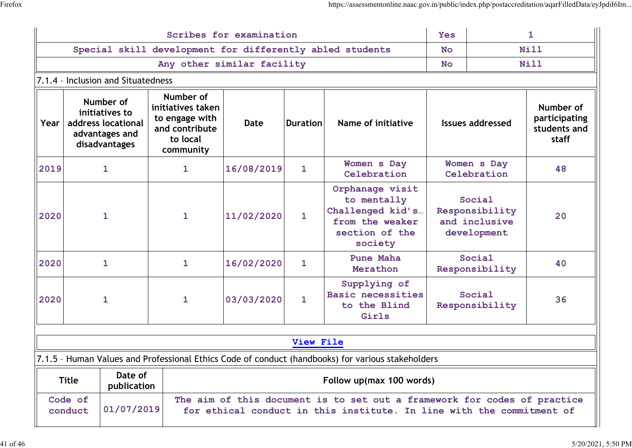| Scribes for examination                                                                                                                                                               |                                                                                      |                        |                                                                                             |             |                 |                                                                                                    |                                                          |                            | $\mathbf{1}$                                        |  |  |
|---------------------------------------------------------------------------------------------------------------------------------------------------------------------------------------|--------------------------------------------------------------------------------------|------------------------|---------------------------------------------------------------------------------------------|-------------|-----------------|----------------------------------------------------------------------------------------------------|----------------------------------------------------------|----------------------------|-----------------------------------------------------|--|--|
| Special skill development for differently abled students                                                                                                                              |                                                                                      |                        |                                                                                             |             |                 |                                                                                                    |                                                          |                            | Nill                                                |  |  |
| Any other similar facility                                                                                                                                                            |                                                                                      |                        |                                                                                             |             |                 |                                                                                                    |                                                          | Nill<br><b>No</b>          |                                                     |  |  |
|                                                                                                                                                                                       | 7.1.4 - Inclusion and Situatedness                                                   |                        |                                                                                             |             |                 |                                                                                                    |                                                          |                            |                                                     |  |  |
| Year                                                                                                                                                                                  | Number of<br>initiatives to<br>address locational<br>advantages and<br>disadvantages |                        | Number of<br>initiatives taken<br>to engage with<br>and contribute<br>to local<br>community | <b>Date</b> | <b>Duration</b> | Name of initiative                                                                                 | <b>Issues addressed</b>                                  |                            | Number of<br>participating<br>students and<br>staff |  |  |
| 2019                                                                                                                                                                                  | $\mathbf{1}$                                                                         |                        | $\mathbf{1}$                                                                                | 16/08/2019  | $\mathbf{1}$    | Women s Day<br>Celebration                                                                         |                                                          | Women s Day<br>Celebration | 48                                                  |  |  |
| 2020                                                                                                                                                                                  | $\mathbf{1}$                                                                         |                        | $\mathbf{1}$                                                                                | 11/02/2020  | $\mathbf{1}$    | Orphanage visit<br>to mentally<br>Challenged kid's<br>from the weaker<br>section of the<br>society | Social<br>Responsibility<br>and inclusive<br>development |                            | 20                                                  |  |  |
| 2020                                                                                                                                                                                  | $\mathbf{1}$                                                                         |                        | $\mathbf{1}$                                                                                | 16/02/2020  | $\mathbf{1}$    | Pune Maha<br>Merathon                                                                              | Social<br>Responsibility                                 |                            | 40                                                  |  |  |
| 2020                                                                                                                                                                                  | $\mathbf{1}$                                                                         |                        | $\mathbf{1}$                                                                                | 03/03/2020  | $\mathbf{1}$    | Supplying of<br>Basic necessities<br>to the Blind<br>Girls                                         |                                                          | Social<br>Responsibility   | 36                                                  |  |  |
| <b>View File</b>                                                                                                                                                                      |                                                                                      |                        |                                                                                             |             |                 |                                                                                                    |                                                          |                            |                                                     |  |  |
|                                                                                                                                                                                       |                                                                                      |                        |                                                                                             |             |                 | 7.1.5 - Human Values and Professional Ethics Code of conduct (handbooks) for various stakeholders  |                                                          |                            |                                                     |  |  |
|                                                                                                                                                                                       | <b>Title</b>                                                                         | Date of<br>publication |                                                                                             |             |                 | Follow up(max 100 words)                                                                           |                                                          |                            |                                                     |  |  |
| Code of<br>The aim of this document is to set out a framework for codes of practice<br>01/07/2019<br>conduct<br>for ethical conduct in this institute. In line with the commitment of |                                                                                      |                        |                                                                                             |             |                 |                                                                                                    |                                                          |                            |                                                     |  |  |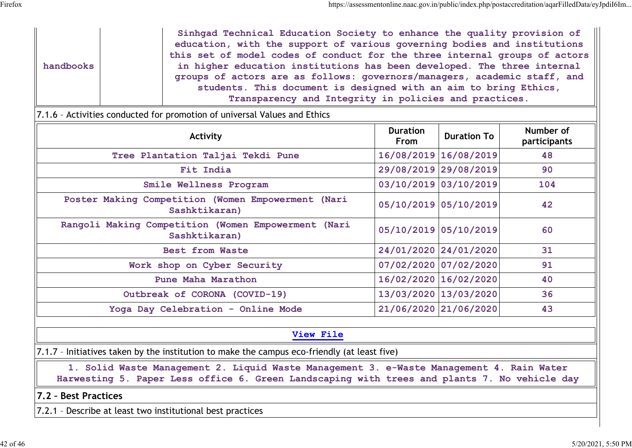|           |  | Sinhgad Technical Education Society to enhance the quality provision of    |
|-----------|--|----------------------------------------------------------------------------|
|           |  | education, with the support of various governing bodies and institutions   |
|           |  | this set of model codes of conduct for the three internal groups of actors |
| handbooks |  | in higher education institutions has been developed. The three internal    |
|           |  | groups of actors are as follows: governors/managers, academic staff, and   |
|           |  | students. This document is designed with an aim to bring Ethics,           |
|           |  | Transparency and Integrity in policies and practices.                      |

### 7.1.6 – Activities conducted for promotion of universal Values and Ethics

| Activity                                                             | <b>Duration</b><br>From | <b>Duration To</b>    | Number of<br>participants |
|----------------------------------------------------------------------|-------------------------|-----------------------|---------------------------|
| Tree Plantation Taljai Tekdi Pune                                    |                         | 16/08/2019 16/08/2019 | 48                        |
| Fit India                                                            |                         | 29/08/2019 29/08/2019 | 90                        |
| Smile Wellness Program                                               |                         | 03/10/2019 03/10/2019 | 104                       |
| Poster Making Competition (Women Empowerment (Nari<br>Sashktikaran)  |                         | 05/10/2019 05/10/2019 | 42                        |
| Rangoli Making Competition (Women Empowerment (Nari<br>Sashktikaran) |                         | 05/10/2019 05/10/2019 | 60                        |
| Best from Waste                                                      |                         | 24/01/2020 24/01/2020 | 31                        |
| Work shop on Cyber Security                                          |                         | 07/02/2020 07/02/2020 | 91                        |
| Pune Maha Marathon                                                   |                         | 16/02/2020 16/02/2020 | 40                        |
| Outbreak of CORONA (COVID-19)                                        |                         | 13/03/2020 13/03/2020 | 36                        |
| Yoga Day Celebration - Online Mode                                   |                         | 21/06/2020 21/06/2020 | 43                        |

### **View File**

7.1.7 - Initiatives taken by the institution to make the campus eco-friendly (at least five)

**1. Solid Waste Management 2. Liquid Waste Management 3. e-Waste Management 4. Rain Water Harwesting 5. Paper Less office 6. Green Landscaping with trees and plants 7. No vehicle day**

#### **7.2 – Best Practices**

7.2.1 – Describe at least two institutional best practices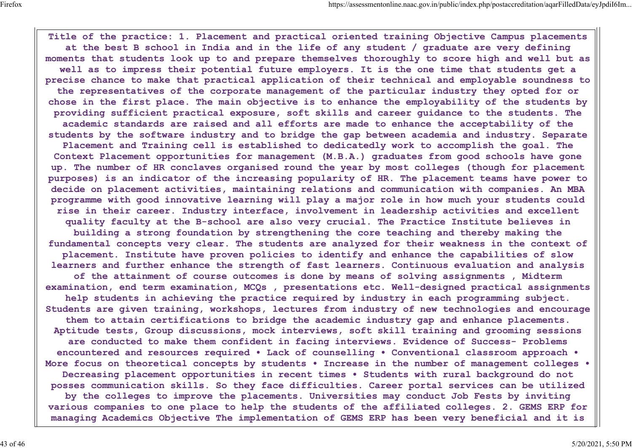**Title of the practice: 1. Placement and practical oriented training Objective Campus placements at the best B school in India and in the life of any student / graduate are very defining moments that students look up to and prepare themselves thoroughly to score high and well but as well as to impress their potential future employers. It is the one time that students get a precise chance to make that practical application of their technical and employable soundness to the representatives of the corporate management of the particular industry they opted for or chose in the first place. The main objective is to enhance the employability of the students by providing sufficient practical exposure, soft skills and career guidance to the students. The academic standards are raised and all efforts are made to enhance the acceptability of the students by the software industry and to bridge the gap between academia and industry. Separate Placement and Training cell is established to dedicatedly work to accomplish the goal. The Context Placement opportunities for management (M.B.A.) graduates from good schools have gone up. The number of HR conclaves organised round the year by most colleges (though for placement purposes) is an indicator of the increasing popularity of HR. The placement teams have power to decide on placement activities, maintaining relations and communication with companies. An MBA programme with good innovative learning will play a major role in how much your students could rise in their career. Industry interface, involvement in leadership activities and excellent quality faculty at the B-school are also very crucial. The Practice Institute believes in building a strong foundation by strengthening the core teaching and thereby making the fundamental concepts very clear. The students are analyzed for their weakness in the context of placement. Institute have proven policies to identify and enhance the capabilities of slow learners and further enhance the strength of fast learners. Continuous evaluation and analysis of the attainment of course outcomes is done by means of solving assignments , Midterm examination, end term examination, MCQs , presentations etc. Well-designed practical assignments help students in achieving the practice required by industry in each programming subject. Students are given training, workshops, lectures from industry of new technologies and encourage them to attain certifications to bridge the academic industry gap and enhance placements. Aptitude tests, Group discussions, mock interviews, soft skill training and grooming sessions are conducted to make them confident in facing interviews. Evidence of Success- Problems encountered and resources required • Lack of counselling • Conventional classroom approach • More focus on theoretical concepts by students • Increase in the number of management colleges • Decreasing placement opportunities in recent times • Students with rural background do not posses communication skills. So they face difficulties. Career portal services can be utilized by the colleges to improve the placements. Universities may conduct Job Fests by inviting various companies to one place to help the students of the affiliated colleges. 2. GEMS ERP for managing Academics Objective The implementation of GEMS ERP has been very beneficial and it is**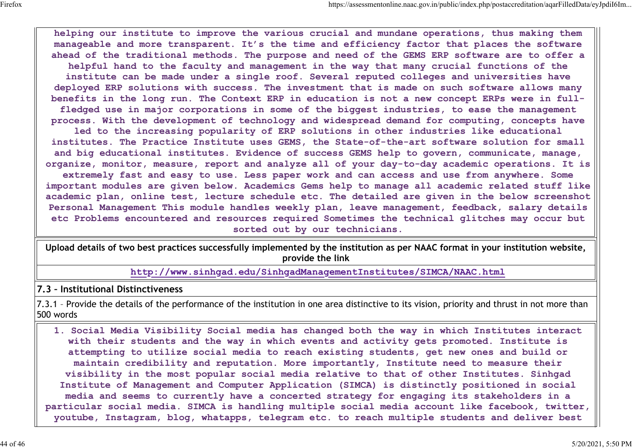**helping our institute to improve the various crucial and mundane operations, thus making them manageable and more transparent. It's the time and efficiency factor that places the software ahead of the traditional methods. The purpose and need of the GEMS ERP software are to offer a helpful hand to the faculty and management in the way that many crucial functions of the institute can be made under a single roof. Several reputed colleges and universities have deployed ERP solutions with success. The investment that is made on such software allows many benefits in the long run. The Context ERP in education is not a new concept ERPs were in fullfledged use in major corporations in some of the biggest industries, to ease the management process. With the development of technology and widespread demand for computing, concepts have led to the increasing popularity of ERP solutions in other industries like educational institutes. The Practice Institute uses GEMS, the State-of-the-art software solution for small and big educational institutes. Evidence of success GEMS help to govern, communicate, manage, organize, monitor, measure, report and analyze all of your day-to-day academic operations. It is extremely fast and easy to use. Less paper work and can access and use from anywhere. Some important modules are given below. Academics Gems help to manage all academic related stuff like academic plan, online test, lecture schedule etc. The detailed are given in the below screenshot Personal Management This module handles weekly plan, leave management, feedback, salary details etc Problems encountered and resources required Sometimes the technical glitches may occur but sorted out by our technicians.**

**Upload details of two best practices successfully implemented by the institution as per NAAC format in your institution website, provide the link**

**http://www.sinhgad.edu/SinhgadManagementInstitutes/SIMCA/NAAC.html**

#### **7.3 – Institutional Distinctiveness**

7.3.1 – Provide the details of the performance of the institution in one area distinctive to its vision, priority and thrust in not more than 500 words

**1. Social Media Visibility Social media has changed both the way in which Institutes interact with their students and the way in which events and activity gets promoted. Institute is attempting to utilize social media to reach existing students, get new ones and build or maintain credibility and reputation. More importantly, Institute need to measure their visibility in the most popular social media relative to that of other Institutes. Sinhgad Institute of Management and Computer Application (SIMCA) is distinctly positioned in social media and seems to currently have a concerted strategy for engaging its stakeholders in a particular social media. SIMCA is handling multiple social media account like facebook, twitter, youtube, Instagram, blog, whatapps, telegram etc. to reach multiple students and deliver best**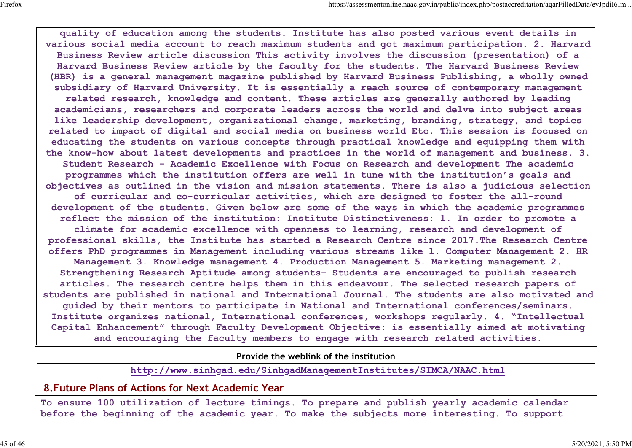**quality of education among the students. Institute has also posted various event details in various social media account to reach maximum students and got maximum participation. 2. Harvard Business Review article discussion This activity involves the discussion (presentation) of a Harvard Business Review article by the faculty for the students. The Harvard Business Review (HBR) is a general management magazine published by Harvard Business Publishing, a wholly owned subsidiary of Harvard University. It is essentially a reach source of contemporary management related research, knowledge and content. These articles are generally authored by leading academicians, researchers and corporate leaders across the world and delve into subject areas like leadership development, organizational change, marketing, branding, strategy, and topics related to impact of digital and social media on business world Etc. This session is focused on educating the students on various concepts through practical knowledge and equipping them with the know-how about latest developments and practices in the world of management and business. 3. Student Research - Academic Excellence with Focus on Research and development The academic programmes which the institution offers are well in tune with the institution's goals and objectives as outlined in the vision and mission statements. There is also a judicious selection of curricular and co-curricular activities, which are designed to foster the all-round development of the students. Given below are some of the ways in which the academic programmes reflect the mission of the institution: Institute Distinctiveness: 1. In order to promote a climate for academic excellence with openness to learning, research and development of professional skills, the Institute has started a Research Centre since 2017.The Research Centre offers PhD programmes in Management including various streams like 1. Computer Management 2. HR Management 3. Knowledge management 4. Production Management 5. Marketing management 2. Strengthening Research Aptitude among students– Students are encouraged to publish research articles. The research centre helps them in this endeavour. The selected research papers of students are published in national and International Journal. The students are also motivated and guided by their mentors to participate in National and International conferences/seminars. Institute organizes national, International conferences, workshops regularly. 4. "Intellectual Capital Enhancement" through Faculty Development Objective: is essentially aimed at motivating and encouraging the faculty members to engage with research related activities.**

**Provide the weblink of the institution**

**http://www.sinhgad.edu/SinhgadManagementInstitutes/SIMCA/NAAC.html**

#### **8.Future Plans of Actions for Next Academic Year**

**To ensure 100 utilization of lecture timings. To prepare and publish yearly academic calendar before the beginning of the academic year. To make the subjects more interesting. To support**